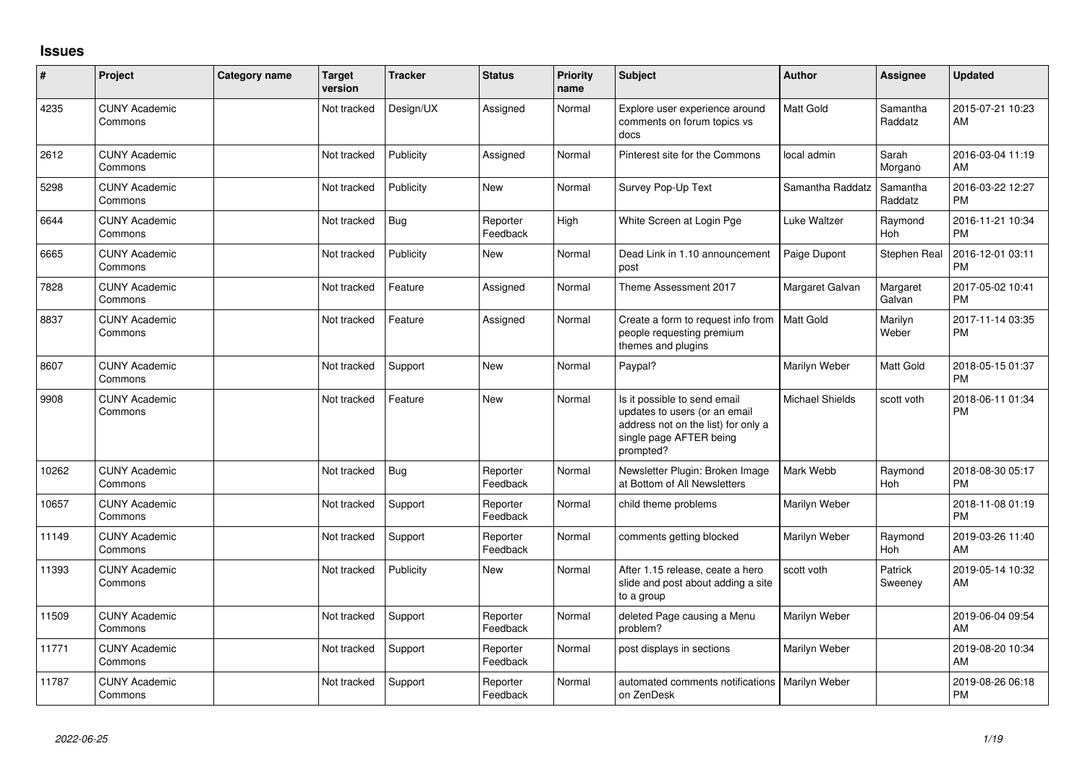## **Issues**

| #     | Project                         | <b>Category name</b> | <b>Target</b><br>version | <b>Tracker</b> | <b>Status</b>        | <b>Priority</b><br>name | <b>Subject</b>                                                                                                                               | <b>Author</b>    | Assignee              | <b>Updated</b>                |
|-------|---------------------------------|----------------------|--------------------------|----------------|----------------------|-------------------------|----------------------------------------------------------------------------------------------------------------------------------------------|------------------|-----------------------|-------------------------------|
| 4235  | <b>CUNY Academic</b><br>Commons |                      | Not tracked              | Design/UX      | Assigned             | Normal                  | Explore user experience around<br>comments on forum topics vs<br>docs                                                                        | Matt Gold        | Samantha<br>Raddatz   | 2015-07-21 10:23<br>AM        |
| 2612  | <b>CUNY Academic</b><br>Commons |                      | Not tracked              | Publicity      | Assigned             | Normal                  | Pinterest site for the Commons                                                                                                               | local admin      | Sarah<br>Morgano      | 2016-03-04 11:19<br>AM        |
| 5298  | <b>CUNY Academic</b><br>Commons |                      | Not tracked              | Publicity      | New                  | Normal                  | Survey Pop-Up Text                                                                                                                           | Samantha Raddatz | Samantha<br>Raddatz   | 2016-03-22 12:27<br><b>PM</b> |
| 6644  | <b>CUNY Academic</b><br>Commons |                      | Not tracked              | Bug            | Reporter<br>Feedback | High                    | White Screen at Login Pge                                                                                                                    | Luke Waltzer     | Raymond<br>Hoh        | 2016-11-21 10:34<br><b>PM</b> |
| 6665  | <b>CUNY Academic</b><br>Commons |                      | Not tracked              | Publicity      | New                  | Normal                  | Dead Link in 1.10 announcement<br>post                                                                                                       | Paige Dupont     | Stephen Real          | 2016-12-01 03:11<br><b>PM</b> |
| 7828  | <b>CUNY Academic</b><br>Commons |                      | Not tracked              | Feature        | Assigned             | Normal                  | Theme Assessment 2017                                                                                                                        | Margaret Galvan  | Margaret<br>Galvan    | 2017-05-02 10:41<br><b>PM</b> |
| 8837  | <b>CUNY Academic</b><br>Commons |                      | Not tracked              | Feature        | Assigned             | Normal                  | Create a form to request info from<br>people requesting premium<br>themes and plugins                                                        | <b>Matt Gold</b> | Marilyn<br>Weber      | 2017-11-14 03:35<br><b>PM</b> |
| 8607  | <b>CUNY Academic</b><br>Commons |                      | Not tracked              | Support        | <b>New</b>           | Normal                  | Paypal?                                                                                                                                      | Marilyn Weber    | Matt Gold             | 2018-05-15 01:37<br><b>PM</b> |
| 9908  | <b>CUNY Academic</b><br>Commons |                      | Not tracked              | Feature        | <b>New</b>           | Normal                  | Is it possible to send email<br>updates to users (or an email<br>address not on the list) for only a<br>single page AFTER being<br>prompted? | Michael Shields  | scott voth            | 2018-06-11 01:34<br><b>PM</b> |
| 10262 | <b>CUNY Academic</b><br>Commons |                      | Not tracked              | Bug            | Reporter<br>Feedback | Normal                  | Newsletter Plugin: Broken Image<br>at Bottom of All Newsletters                                                                              | Mark Webb        | Raymond<br><b>Hoh</b> | 2018-08-30 05:17<br><b>PM</b> |
| 10657 | <b>CUNY Academic</b><br>Commons |                      | Not tracked              | Support        | Reporter<br>Feedback | Normal                  | child theme problems                                                                                                                         | Marilyn Weber    |                       | 2018-11-08 01:19<br><b>PM</b> |
| 11149 | <b>CUNY Academic</b><br>Commons |                      | Not tracked              | Support        | Reporter<br>Feedback | Normal                  | comments getting blocked                                                                                                                     | Marilyn Weber    | Raymond<br><b>Hoh</b> | 2019-03-26 11:40<br>AM        |
| 11393 | <b>CUNY Academic</b><br>Commons |                      | Not tracked              | Publicity      | New                  | Normal                  | After 1.15 release, ceate a hero<br>slide and post about adding a site<br>to a group                                                         | scott voth       | Patrick<br>Sweeney    | 2019-05-14 10:32<br>AM        |
| 11509 | <b>CUNY Academic</b><br>Commons |                      | Not tracked              | Support        | Reporter<br>Feedback | Normal                  | deleted Page causing a Menu<br>problem?                                                                                                      | Marilyn Weber    |                       | 2019-06-04 09:54<br>AM        |
| 11771 | <b>CUNY Academic</b><br>Commons |                      | Not tracked              | Support        | Reporter<br>Feedback | Normal                  | post displays in sections                                                                                                                    | Marilyn Weber    |                       | 2019-08-20 10:34<br>AM        |
| 11787 | <b>CUNY Academic</b><br>Commons |                      | Not tracked              | Support        | Reporter<br>Feedback | Normal                  | automated comments notifications<br>on ZenDesk                                                                                               | Marilyn Weber    |                       | 2019-08-26 06:18<br><b>PM</b> |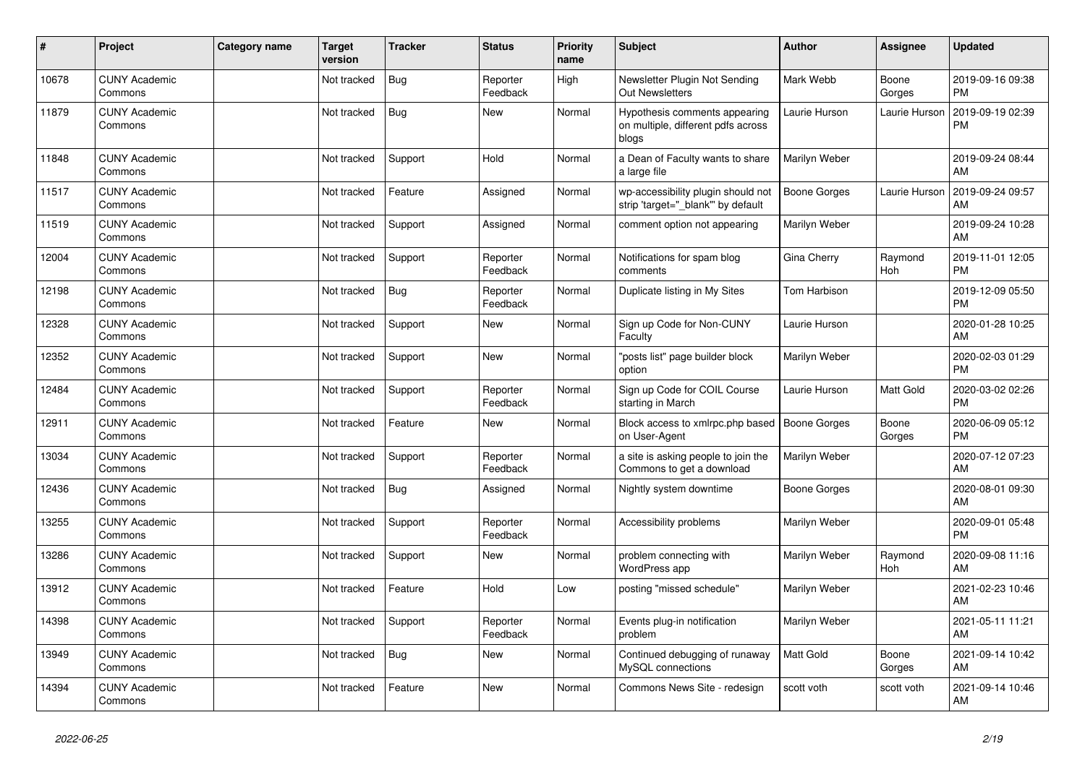| ∦     | Project                         | <b>Category name</b> | <b>Target</b><br>version | <b>Tracker</b> | <b>Status</b>        | Priority<br>name | <b>Subject</b>                                                               | <b>Author</b>       | <b>Assignee</b>       | <b>Updated</b>                |
|-------|---------------------------------|----------------------|--------------------------|----------------|----------------------|------------------|------------------------------------------------------------------------------|---------------------|-----------------------|-------------------------------|
| 10678 | <b>CUNY Academic</b><br>Commons |                      | Not tracked              | <b>Bug</b>     | Reporter<br>Feedback | High             | Newsletter Plugin Not Sending<br><b>Out Newsletters</b>                      | Mark Webb           | Boone<br>Gorges       | 2019-09-16 09:38<br><b>PM</b> |
| 11879 | <b>CUNY Academic</b><br>Commons |                      | Not tracked              | Bug            | New                  | Normal           | Hypothesis comments appearing<br>on multiple, different pdfs across<br>blogs | Laurie Hurson       | Laurie Hurson         | 2019-09-19 02:39<br><b>PM</b> |
| 11848 | <b>CUNY Academic</b><br>Commons |                      | Not tracked              | Support        | Hold                 | Normal           | a Dean of Faculty wants to share<br>a large file                             | Marilyn Weber       |                       | 2019-09-24 08:44<br>AM        |
| 11517 | <b>CUNY Academic</b><br>Commons |                      | Not tracked              | Feature        | Assigned             | Normal           | wp-accessibility plugin should not<br>strip 'target="_blank"' by default     | <b>Boone Gorges</b> | Laurie Hurson         | 2019-09-24 09:57<br>AM        |
| 11519 | <b>CUNY Academic</b><br>Commons |                      | Not tracked              | Support        | Assigned             | Normal           | comment option not appearing                                                 | Marilyn Weber       |                       | 2019-09-24 10:28<br>AM        |
| 12004 | <b>CUNY Academic</b><br>Commons |                      | Not tracked              | Support        | Reporter<br>Feedback | Normal           | Notifications for spam blog<br>comments                                      | Gina Cherry         | Raymond<br>Hoh        | 2019-11-01 12:05<br><b>PM</b> |
| 12198 | <b>CUNY Academic</b><br>Commons |                      | Not tracked              | <b>Bug</b>     | Reporter<br>Feedback | Normal           | Duplicate listing in My Sites                                                | Tom Harbison        |                       | 2019-12-09 05:50<br><b>PM</b> |
| 12328 | <b>CUNY Academic</b><br>Commons |                      | Not tracked              | Support        | New                  | Normal           | Sign up Code for Non-CUNY<br>Faculty                                         | Laurie Hurson       |                       | 2020-01-28 10:25<br>AM        |
| 12352 | <b>CUNY Academic</b><br>Commons |                      | Not tracked              | Support        | <b>New</b>           | Normal           | 'posts list" page builder block<br>option                                    | Marilyn Weber       |                       | 2020-02-03 01:29<br><b>PM</b> |
| 12484 | <b>CUNY Academic</b><br>Commons |                      | Not tracked              | Support        | Reporter<br>Feedback | Normal           | Sign up Code for COIL Course<br>starting in March                            | Laurie Hurson       | Matt Gold             | 2020-03-02 02:26<br><b>PM</b> |
| 12911 | <b>CUNY Academic</b><br>Commons |                      | Not tracked              | Feature        | New                  | Normal           | Block access to xmlrpc.php based<br>on User-Agent                            | <b>Boone Gorges</b> | Boone<br>Gorges       | 2020-06-09 05:12<br><b>PM</b> |
| 13034 | <b>CUNY Academic</b><br>Commons |                      | Not tracked              | Support        | Reporter<br>Feedback | Normal           | a site is asking people to join the<br>Commons to get a download             | Marilyn Weber       |                       | 2020-07-12 07:23<br>AM        |
| 12436 | <b>CUNY Academic</b><br>Commons |                      | Not tracked              | Bug            | Assigned             | Normal           | Nightly system downtime                                                      | <b>Boone Gorges</b> |                       | 2020-08-01 09:30<br>AM        |
| 13255 | <b>CUNY Academic</b><br>Commons |                      | Not tracked              | Support        | Reporter<br>Feedback | Normal           | Accessibility problems                                                       | Marilyn Weber       |                       | 2020-09-01 05:48<br><b>PM</b> |
| 13286 | <b>CUNY Academic</b><br>Commons |                      | Not tracked              | Support        | <b>New</b>           | Normal           | problem connecting with<br>WordPress app                                     | Marilyn Weber       | Raymond<br><b>Hoh</b> | 2020-09-08 11:16<br>AM        |
| 13912 | <b>CUNY Academic</b><br>Commons |                      | Not tracked              | Feature        | Hold                 | Low              | posting "missed schedule"                                                    | Marilyn Weber       |                       | 2021-02-23 10:46<br>AM        |
| 14398 | <b>CUNY Academic</b><br>Commons |                      | Not tracked              | Support        | Reporter<br>Feedback | Normal           | Events plug-in notification<br>problem                                       | Marilyn Weber       |                       | 2021-05-11 11:21<br>AM        |
| 13949 | <b>CUNY Academic</b><br>Commons |                      | Not tracked              | Bug            | <b>New</b>           | Normal           | Continued debugging of runaway<br>MySQL connections                          | Matt Gold           | Boone<br>Gorges       | 2021-09-14 10:42<br>AM        |
| 14394 | <b>CUNY Academic</b><br>Commons |                      | Not tracked              | Feature        | <b>New</b>           | Normal           | Commons News Site - redesign                                                 | scott voth          | scott voth            | 2021-09-14 10:46<br>AM        |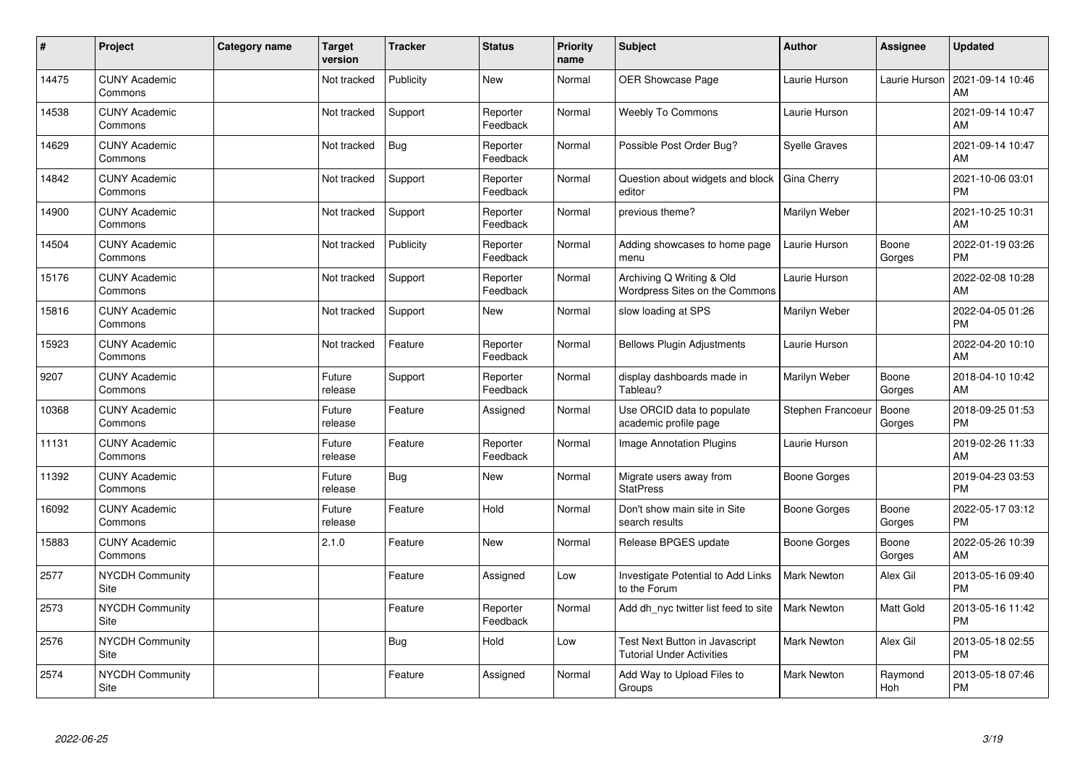| #     | Project                         | <b>Category name</b> | <b>Target</b><br>version | <b>Tracker</b> | <b>Status</b>        | <b>Priority</b><br>name | <b>Subject</b>                                                     | Author               | <b>Assignee</b> | <b>Updated</b>                |
|-------|---------------------------------|----------------------|--------------------------|----------------|----------------------|-------------------------|--------------------------------------------------------------------|----------------------|-----------------|-------------------------------|
| 14475 | <b>CUNY Academic</b><br>Commons |                      | Not tracked              | Publicity      | <b>New</b>           | Normal                  | <b>OER Showcase Page</b>                                           | Laurie Hurson        | Laurie Hurson   | 2021-09-14 10:46<br>AM        |
| 14538 | <b>CUNY Academic</b><br>Commons |                      | Not tracked              | Support        | Reporter<br>Feedback | Normal                  | <b>Weebly To Commons</b>                                           | Laurie Hurson        |                 | 2021-09-14 10:47<br>AM        |
| 14629 | <b>CUNY Academic</b><br>Commons |                      | Not tracked              | <b>Bug</b>     | Reporter<br>Feedback | Normal                  | Possible Post Order Bug?                                           | <b>Syelle Graves</b> |                 | 2021-09-14 10:47<br>AM        |
| 14842 | <b>CUNY Academic</b><br>Commons |                      | Not tracked              | Support        | Reporter<br>Feedback | Normal                  | Question about widgets and block<br>editor                         | Gina Cherry          |                 | 2021-10-06 03:01<br><b>PM</b> |
| 14900 | <b>CUNY Academic</b><br>Commons |                      | Not tracked              | Support        | Reporter<br>Feedback | Normal                  | previous theme?                                                    | Marilyn Weber        |                 | 2021-10-25 10:31<br>AM        |
| 14504 | <b>CUNY Academic</b><br>Commons |                      | Not tracked              | Publicity      | Reporter<br>Feedback | Normal                  | Adding showcases to home page<br>menu                              | Laurie Hurson        | Boone<br>Gorges | 2022-01-19 03:26<br><b>PM</b> |
| 15176 | <b>CUNY Academic</b><br>Commons |                      | Not tracked              | Support        | Reporter<br>Feedback | Normal                  | Archiving Q Writing & Old<br>Wordpress Sites on the Commons        | Laurie Hurson        |                 | 2022-02-08 10:28<br>AM        |
| 15816 | <b>CUNY Academic</b><br>Commons |                      | Not tracked              | Support        | New                  | Normal                  | slow loading at SPS                                                | Marilyn Weber        |                 | 2022-04-05 01:26<br><b>PM</b> |
| 15923 | <b>CUNY Academic</b><br>Commons |                      | Not tracked              | Feature        | Reporter<br>Feedback | Normal                  | <b>Bellows Plugin Adjustments</b>                                  | Laurie Hurson        |                 | 2022-04-20 10:10<br>AM        |
| 9207  | <b>CUNY Academic</b><br>Commons |                      | Future<br>release        | Support        | Reporter<br>Feedback | Normal                  | display dashboards made in<br>Tableau?                             | Marilyn Weber        | Boone<br>Gorges | 2018-04-10 10:42<br>AM        |
| 10368 | <b>CUNY Academic</b><br>Commons |                      | Future<br>release        | Feature        | Assigned             | Normal                  | Use ORCID data to populate<br>academic profile page                | Stephen Francoeur    | Boone<br>Gorges | 2018-09-25 01:53<br><b>PM</b> |
| 11131 | <b>CUNY Academic</b><br>Commons |                      | Future<br>release        | Feature        | Reporter<br>Feedback | Normal                  | <b>Image Annotation Plugins</b>                                    | Laurie Hurson        |                 | 2019-02-26 11:33<br>AM        |
| 11392 | <b>CUNY Academic</b><br>Commons |                      | Future<br>release        | <b>Bug</b>     | New                  | Normal                  | Migrate users away from<br><b>StatPress</b>                        | <b>Boone Gorges</b>  |                 | 2019-04-23 03:53<br><b>PM</b> |
| 16092 | <b>CUNY Academic</b><br>Commons |                      | Future<br>release        | Feature        | Hold                 | Normal                  | Don't show main site in Site<br>search results                     | <b>Boone Gorges</b>  | Boone<br>Gorges | 2022-05-17 03:12<br><b>PM</b> |
| 15883 | <b>CUNY Academic</b><br>Commons |                      | 2.1.0                    | Feature        | New                  | Normal                  | Release BPGES update                                               | <b>Boone Gorges</b>  | Boone<br>Gorges | 2022-05-26 10:39<br>AM        |
| 2577  | <b>NYCDH Community</b><br>Site  |                      |                          | Feature        | Assigned             | Low                     | Investigate Potential to Add Links<br>to the Forum                 | <b>Mark Newton</b>   | Alex Gil        | 2013-05-16 09:40<br><b>PM</b> |
| 2573  | <b>NYCDH Community</b><br>Site  |                      |                          | Feature        | Reporter<br>Feedback | Normal                  | Add dh nyc twitter list feed to site                               | <b>Mark Newton</b>   | Matt Gold       | 2013-05-16 11:42<br><b>PM</b> |
| 2576  | <b>NYCDH Community</b><br>Site  |                      |                          | <b>Bug</b>     | Hold                 | Low                     | Test Next Button in Javascript<br><b>Tutorial Under Activities</b> | <b>Mark Newton</b>   | Alex Gil        | 2013-05-18 02:55<br><b>PM</b> |
| 2574  | <b>NYCDH Community</b><br>Site  |                      |                          | Feature        | Assigned             | Normal                  | Add Way to Upload Files to<br>Groups                               | Mark Newton          | Raymond<br>Hoh  | 2013-05-18 07:46<br>PM        |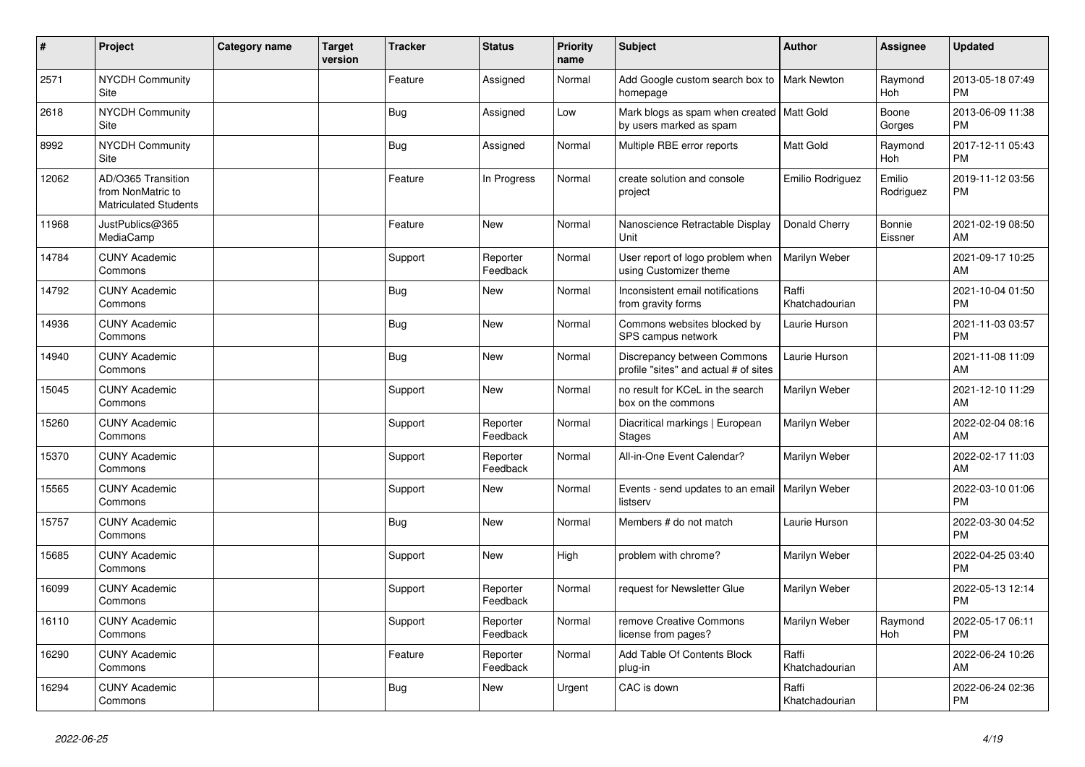| #     | Project                                                                 | <b>Category name</b> | <b>Target</b><br>version | <b>Tracker</b> | <b>Status</b>        | <b>Priority</b><br>name | <b>Subject</b>                                                         | Author                  | <b>Assignee</b>     | <b>Updated</b>                |
|-------|-------------------------------------------------------------------------|----------------------|--------------------------|----------------|----------------------|-------------------------|------------------------------------------------------------------------|-------------------------|---------------------|-------------------------------|
| 2571  | <b>NYCDH Community</b><br>Site                                          |                      |                          | Feature        | Assigned             | Normal                  | Add Google custom search box to<br>homepage                            | <b>Mark Newton</b>      | Raymond<br>Hoh      | 2013-05-18 07:49<br><b>PM</b> |
| 2618  | <b>NYCDH Community</b><br>Site                                          |                      |                          | <b>Bug</b>     | Assigned             | Low                     | Mark blogs as spam when created   Matt Gold<br>by users marked as spam |                         | Boone<br>Gorges     | 2013-06-09 11:38<br><b>PM</b> |
| 8992  | <b>NYCDH Community</b><br>Site                                          |                      |                          | <b>Bug</b>     | Assigned             | Normal                  | Multiple RBE error reports                                             | Matt Gold               | Raymond<br>Hoh      | 2017-12-11 05:43<br><b>PM</b> |
| 12062 | AD/O365 Transition<br>from NonMatric to<br><b>Matriculated Students</b> |                      |                          | Feature        | In Progress          | Normal                  | create solution and console<br>project                                 | Emilio Rodriguez        | Emilio<br>Rodriguez | 2019-11-12 03:56<br><b>PM</b> |
| 11968 | JustPublics@365<br>MediaCamp                                            |                      |                          | Feature        | <b>New</b>           | Normal                  | Nanoscience Retractable Display<br>Unit                                | Donald Cherry           | Bonnie<br>Eissner   | 2021-02-19 08:50<br>AM        |
| 14784 | <b>CUNY Academic</b><br>Commons                                         |                      |                          | Support        | Reporter<br>Feedback | Normal                  | User report of logo problem when<br>using Customizer theme             | Marilyn Weber           |                     | 2021-09-17 10:25<br>AM        |
| 14792 | <b>CUNY Academic</b><br>Commons                                         |                      |                          | <b>Bug</b>     | New                  | Normal                  | Inconsistent email notifications<br>from gravity forms                 | Raffi<br>Khatchadourian |                     | 2021-10-04 01:50<br><b>PM</b> |
| 14936 | <b>CUNY Academic</b><br>Commons                                         |                      |                          | <b>Bug</b>     | <b>New</b>           | Normal                  | Commons websites blocked by<br>SPS campus network                      | Laurie Hurson           |                     | 2021-11-03 03:57<br><b>PM</b> |
| 14940 | <b>CUNY Academic</b><br>Commons                                         |                      |                          | <b>Bug</b>     | <b>New</b>           | Normal                  | Discrepancy between Commons<br>profile "sites" and actual # of sites   | Laurie Hurson           |                     | 2021-11-08 11:09<br>AM        |
| 15045 | <b>CUNY Academic</b><br>Commons                                         |                      |                          | Support        | New                  | Normal                  | no result for KCeL in the search<br>box on the commons                 | Marilyn Weber           |                     | 2021-12-10 11:29<br>AM        |
| 15260 | <b>CUNY Academic</b><br>Commons                                         |                      |                          | Support        | Reporter<br>Feedback | Normal                  | Diacritical markings   European<br>Stages                              | Marilyn Weber           |                     | 2022-02-04 08:16<br>AM        |
| 15370 | <b>CUNY Academic</b><br>Commons                                         |                      |                          | Support        | Reporter<br>Feedback | Normal                  | All-in-One Event Calendar?                                             | Marilyn Weber           |                     | 2022-02-17 11:03<br>AM        |
| 15565 | <b>CUNY Academic</b><br>Commons                                         |                      |                          | Support        | <b>New</b>           | Normal                  | Events - send updates to an email<br>listserv                          | Marilyn Weber           |                     | 2022-03-10 01:06<br><b>PM</b> |
| 15757 | <b>CUNY Academic</b><br>Commons                                         |                      |                          | <b>Bug</b>     | <b>New</b>           | Normal                  | Members # do not match                                                 | Laurie Hurson           |                     | 2022-03-30 04:52<br><b>PM</b> |
| 15685 | <b>CUNY Academic</b><br>Commons                                         |                      |                          | Support        | <b>New</b>           | High                    | problem with chrome?                                                   | Marilyn Weber           |                     | 2022-04-25 03:40<br><b>PM</b> |
| 16099 | <b>CUNY Academic</b><br>Commons                                         |                      |                          | Support        | Reporter<br>Feedback | Normal                  | request for Newsletter Glue                                            | Marilyn Weber           |                     | 2022-05-13 12:14<br><b>PM</b> |
| 16110 | <b>CUNY Academic</b><br>Commons                                         |                      |                          | Support        | Reporter<br>Feedback | Normal                  | remove Creative Commons<br>license from pages?                         | Marilyn Weber           | Raymond<br>Hoh      | 2022-05-17 06:11<br><b>PM</b> |
| 16290 | <b>CUNY Academic</b><br>Commons                                         |                      |                          | Feature        | Reporter<br>Feedback | Normal                  | Add Table Of Contents Block<br>plug-in                                 | Raffi<br>Khatchadourian |                     | 2022-06-24 10:26<br>AM        |
| 16294 | <b>CUNY Academic</b><br>Commons                                         |                      |                          | Bug            | <b>New</b>           | Urgent                  | CAC is down                                                            | Raffi<br>Khatchadourian |                     | 2022-06-24 02:36<br><b>PM</b> |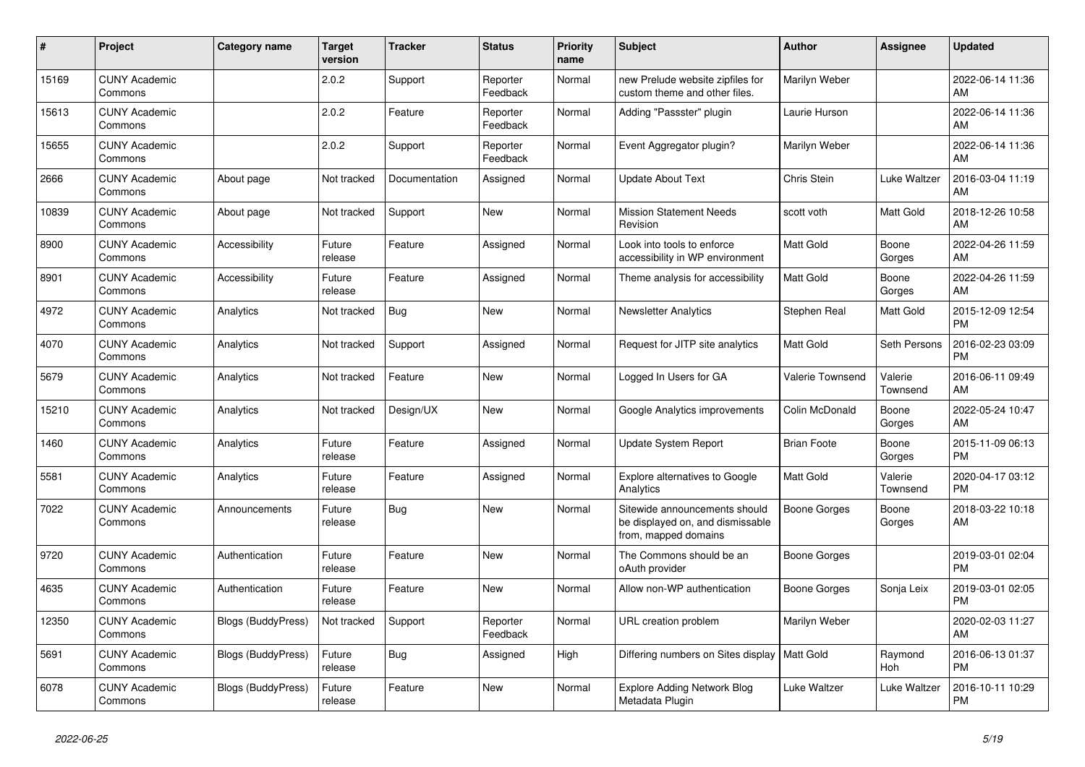| #     | <b>Project</b>                  | <b>Category name</b>      | <b>Target</b><br>version | Tracker       | <b>Status</b>        | <b>Priority</b><br>name | <b>Subject</b>                                                                            | <b>Author</b>      | <b>Assignee</b>       | <b>Updated</b>                |
|-------|---------------------------------|---------------------------|--------------------------|---------------|----------------------|-------------------------|-------------------------------------------------------------------------------------------|--------------------|-----------------------|-------------------------------|
| 15169 | <b>CUNY Academic</b><br>Commons |                           | 2.0.2                    | Support       | Reporter<br>Feedback | Normal                  | new Prelude website zipfiles for<br>custom theme and other files.                         | Marilyn Weber      |                       | 2022-06-14 11:36<br>AM        |
| 15613 | <b>CUNY Academic</b><br>Commons |                           | 2.0.2                    | Feature       | Reporter<br>Feedback | Normal                  | Adding "Passster" plugin                                                                  | Laurie Hurson      |                       | 2022-06-14 11:36<br>AM        |
| 15655 | <b>CUNY Academic</b><br>Commons |                           | 2.0.2                    | Support       | Reporter<br>Feedback | Normal                  | Event Aggregator plugin?                                                                  | Marilyn Weber      |                       | 2022-06-14 11:36<br>AM        |
| 2666  | <b>CUNY Academic</b><br>Commons | About page                | Not tracked              | Documentation | Assigned             | Normal                  | <b>Update About Text</b>                                                                  | <b>Chris Stein</b> | Luke Waltzer          | 2016-03-04 11:19<br>AM        |
| 10839 | <b>CUNY Academic</b><br>Commons | About page                | Not tracked              | Support       | New                  | Normal                  | <b>Mission Statement Needs</b><br>Revision                                                | scott voth         | Matt Gold             | 2018-12-26 10:58<br>AM        |
| 8900  | <b>CUNY Academic</b><br>Commons | Accessibility             | Future<br>release        | Feature       | Assigned             | Normal                  | Look into tools to enforce<br>accessibility in WP environment                             | Matt Gold          | Boone<br>Gorges       | 2022-04-26 11:59<br>AM        |
| 8901  | <b>CUNY Academic</b><br>Commons | Accessibility             | Future<br>release        | Feature       | Assigned             | Normal                  | Theme analysis for accessibility                                                          | Matt Gold          | Boone<br>Gorges       | 2022-04-26 11:59<br>AM        |
| 4972  | <b>CUNY Academic</b><br>Commons | Analytics                 | Not tracked              | Bug           | <b>New</b>           | Normal                  | <b>Newsletter Analytics</b>                                                               | Stephen Real       | Matt Gold             | 2015-12-09 12:54<br><b>PM</b> |
| 4070  | <b>CUNY Academic</b><br>Commons | Analytics                 | Not tracked              | Support       | Assigned             | Normal                  | Request for JITP site analytics                                                           | Matt Gold          | Seth Persons          | 2016-02-23 03:09<br><b>PM</b> |
| 5679  | <b>CUNY Academic</b><br>Commons | Analytics                 | Not tracked              | Feature       | <b>New</b>           | Normal                  | Logged In Users for GA                                                                    | Valerie Townsend   | Valerie<br>Townsend   | 2016-06-11 09:49<br>AM        |
| 15210 | <b>CUNY Academic</b><br>Commons | Analytics                 | Not tracked              | Design/UX     | <b>New</b>           | Normal                  | Google Analytics improvements                                                             | Colin McDonald     | Boone<br>Gorges       | 2022-05-24 10:47<br>AM        |
| 1460  | <b>CUNY Academic</b><br>Commons | Analytics                 | Future<br>release        | Feature       | Assigned             | Normal                  | Update System Report                                                                      | <b>Brian Foote</b> | Boone<br>Gorges       | 2015-11-09 06:13<br><b>PM</b> |
| 5581  | <b>CUNY Academic</b><br>Commons | Analytics                 | Future<br>release        | Feature       | Assigned             | Normal                  | Explore alternatives to Google<br>Analytics                                               | Matt Gold          | Valerie<br>Townsend   | 2020-04-17 03:12<br><b>PM</b> |
| 7022  | <b>CUNY Academic</b><br>Commons | Announcements             | Future<br>release        | <b>Bug</b>    | <b>New</b>           | Normal                  | Sitewide announcements should<br>be displayed on, and dismissable<br>from, mapped domains | Boone Gorges       | Boone<br>Gorges       | 2018-03-22 10:18<br>AM        |
| 9720  | <b>CUNY Academic</b><br>Commons | Authentication            | Future<br>release        | Feature       | <b>New</b>           | Normal                  | The Commons should be an<br>oAuth provider                                                | Boone Gorges       |                       | 2019-03-01 02:04<br><b>PM</b> |
| 4635  | <b>CUNY Academic</b><br>Commons | Authentication            | Future<br>release        | Feature       | <b>New</b>           | Normal                  | Allow non-WP authentication                                                               | Boone Gorges       | Sonja Leix            | 2019-03-01 02:05<br><b>PM</b> |
| 12350 | <b>CUNY Academic</b><br>Commons | <b>Blogs (BuddyPress)</b> | Not tracked              | Support       | Reporter<br>Feedback | Normal                  | URL creation problem                                                                      | Marilyn Weber      |                       | 2020-02-03 11:27<br>AM        |
| 5691  | <b>CUNY Academic</b><br>Commons | Blogs (BuddyPress)        | Future<br>release        | <b>Bug</b>    | Assigned             | High                    | Differing numbers on Sites display   Matt Gold                                            |                    | Raymond<br><b>Hoh</b> | 2016-06-13 01:37<br><b>PM</b> |
| 6078  | <b>CUNY Academic</b><br>Commons | <b>Blogs (BuddyPress)</b> | Future<br>release        | Feature       | <b>New</b>           | Normal                  | <b>Explore Adding Network Blog</b><br>Metadata Plugin                                     | Luke Waltzer       | Luke Waltzer          | 2016-10-11 10:29<br><b>PM</b> |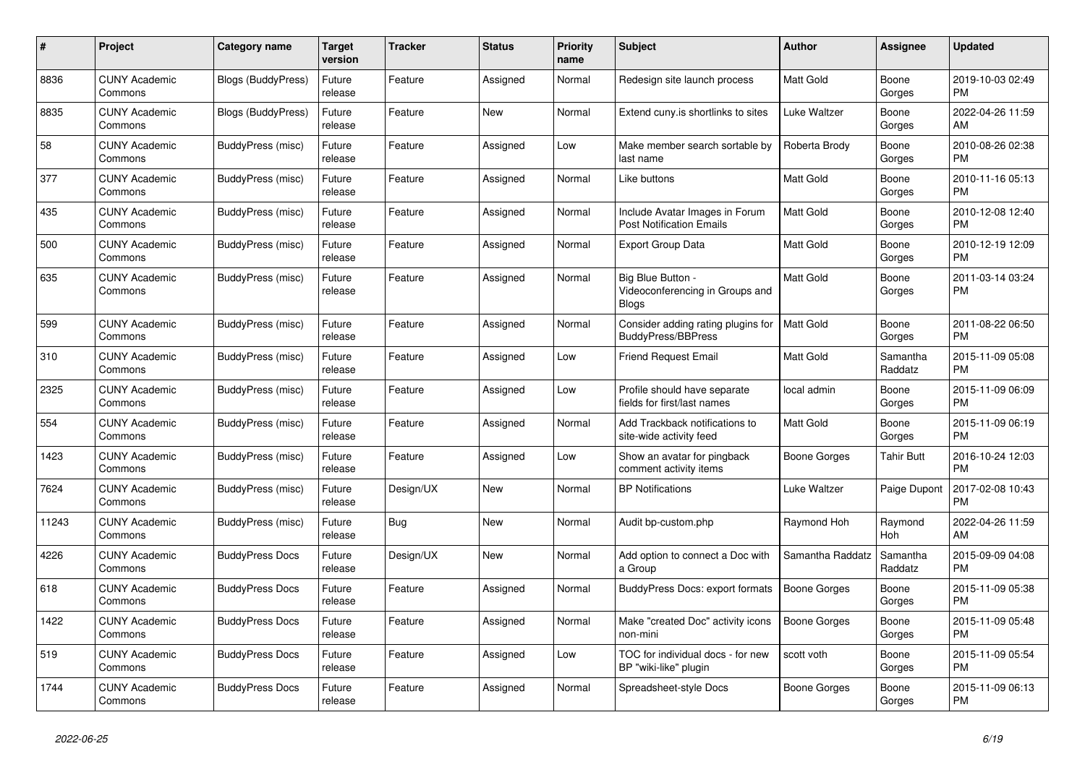| #     | <b>Project</b>                  | Category name             | <b>Target</b><br>version | <b>Tracker</b> | <b>Status</b> | <b>Priority</b><br>name | <b>Subject</b>                                                       | <b>Author</b>       | Assignee            | <b>Updated</b>                |
|-------|---------------------------------|---------------------------|--------------------------|----------------|---------------|-------------------------|----------------------------------------------------------------------|---------------------|---------------------|-------------------------------|
| 8836  | <b>CUNY Academic</b><br>Commons | <b>Blogs (BuddyPress)</b> | Future<br>release        | Feature        | Assigned      | Normal                  | Redesign site launch process                                         | <b>Matt Gold</b>    | Boone<br>Gorges     | 2019-10-03 02:49<br><b>PM</b> |
| 8835  | <b>CUNY Academic</b><br>Commons | Blogs (BuddyPress)        | Future<br>release        | Feature        | <b>New</b>    | Normal                  | Extend cuny is shortlinks to sites                                   | Luke Waltzer        | Boone<br>Gorges     | 2022-04-26 11:59<br>AM        |
| 58    | <b>CUNY Academic</b><br>Commons | BuddyPress (misc)         | Future<br>release        | Feature        | Assigned      | Low                     | Make member search sortable by<br>last name                          | Roberta Brody       | Boone<br>Gorges     | 2010-08-26 02:38<br><b>PM</b> |
| 377   | <b>CUNY Academic</b><br>Commons | BuddyPress (misc)         | Future<br>release        | Feature        | Assigned      | Normal                  | Like buttons                                                         | <b>Matt Gold</b>    | Boone<br>Gorges     | 2010-11-16 05:13<br><b>PM</b> |
| 435   | <b>CUNY Academic</b><br>Commons | BuddyPress (misc)         | Future<br>release        | Feature        | Assigned      | Normal                  | Include Avatar Images in Forum<br><b>Post Notification Emails</b>    | Matt Gold           | Boone<br>Gorges     | 2010-12-08 12:40<br><b>PM</b> |
| 500   | <b>CUNY Academic</b><br>Commons | BuddyPress (misc)         | Future<br>release        | Feature        | Assigned      | Normal                  | <b>Export Group Data</b>                                             | Matt Gold           | Boone<br>Gorges     | 2010-12-19 12:09<br><b>PM</b> |
| 635   | <b>CUNY Academic</b><br>Commons | BuddyPress (misc)         | Future<br>release        | Feature        | Assigned      | Normal                  | Big Blue Button -<br>Videoconferencing in Groups and<br><b>Blogs</b> | <b>Matt Gold</b>    | Boone<br>Gorges     | 2011-03-14 03:24<br><b>PM</b> |
| 599   | <b>CUNY Academic</b><br>Commons | BuddyPress (misc)         | Future<br>release        | Feature        | Assigned      | Normal                  | Consider adding rating plugins for<br><b>BuddyPress/BBPress</b>      | <b>Matt Gold</b>    | Boone<br>Gorges     | 2011-08-22 06:50<br><b>PM</b> |
| 310   | <b>CUNY Academic</b><br>Commons | BuddyPress (misc)         | Future<br>release        | Feature        | Assigned      | Low                     | Friend Request Email                                                 | <b>Matt Gold</b>    | Samantha<br>Raddatz | 2015-11-09 05:08<br><b>PM</b> |
| 2325  | <b>CUNY Academic</b><br>Commons | <b>BuddyPress (misc)</b>  | Future<br>release        | Feature        | Assigned      | Low                     | Profile should have separate<br>fields for first/last names          | local admin         | Boone<br>Gorges     | 2015-11-09 06:09<br><b>PM</b> |
| 554   | <b>CUNY Academic</b><br>Commons | BuddyPress (misc)         | Future<br>release        | Feature        | Assigned      | Normal                  | Add Trackback notifications to<br>site-wide activity feed            | Matt Gold           | Boone<br>Gorges     | 2015-11-09 06:19<br><b>PM</b> |
| 1423  | <b>CUNY Academic</b><br>Commons | BuddyPress (misc)         | Future<br>release        | Feature        | Assigned      | Low                     | Show an avatar for pingback<br>comment activity items                | Boone Gorges        | <b>Tahir Butt</b>   | 2016-10-24 12:03<br><b>PM</b> |
| 7624  | <b>CUNY Academic</b><br>Commons | BuddyPress (misc)         | Future<br>release        | Design/UX      | <b>New</b>    | Normal                  | <b>BP Notifications</b>                                              | Luke Waltzer        | Paige Dupont        | 2017-02-08 10:43<br><b>PM</b> |
| 11243 | <b>CUNY Academic</b><br>Commons | BuddyPress (misc)         | Future<br>release        | <b>Bug</b>     | <b>New</b>    | Normal                  | Audit bp-custom.php                                                  | Raymond Hoh         | Raymond<br>Hoh      | 2022-04-26 11:59<br>AM        |
| 4226  | <b>CUNY Academic</b><br>Commons | <b>BuddyPress Docs</b>    | Future<br>release        | Design/UX      | New           | Normal                  | Add option to connect a Doc with<br>a Group                          | Samantha Raddatz    | Samantha<br>Raddatz | 2015-09-09 04:08<br><b>PM</b> |
| 618   | <b>CUNY Academic</b><br>Commons | <b>BuddyPress Docs</b>    | Future<br>release        | Feature        | Assigned      | Normal                  | BuddyPress Docs: export formats                                      | <b>Boone Gorges</b> | Boone<br>Gorges     | 2015-11-09 05:38<br><b>PM</b> |
| 1422  | <b>CUNY Academic</b><br>Commons | <b>BuddyPress Docs</b>    | Future<br>release        | Feature        | Assigned      | Normal                  | Make "created Doc" activity icons<br>non-mini                        | <b>Boone Gorges</b> | Boone<br>Gorges     | 2015-11-09 05:48<br><b>PM</b> |
| 519   | <b>CUNY Academic</b><br>Commons | <b>BuddyPress Docs</b>    | Future<br>release        | Feature        | Assigned      | Low                     | TOC for individual docs - for new<br>BP "wiki-like" plugin           | scott voth          | Boone<br>Gorges     | 2015-11-09 05:54<br><b>PM</b> |
| 1744  | <b>CUNY Academic</b><br>Commons | <b>BuddyPress Docs</b>    | Future<br>release        | Feature        | Assigned      | Normal                  | Spreadsheet-style Docs                                               | Boone Gorges        | Boone<br>Gorges     | 2015-11-09 06:13<br><b>PM</b> |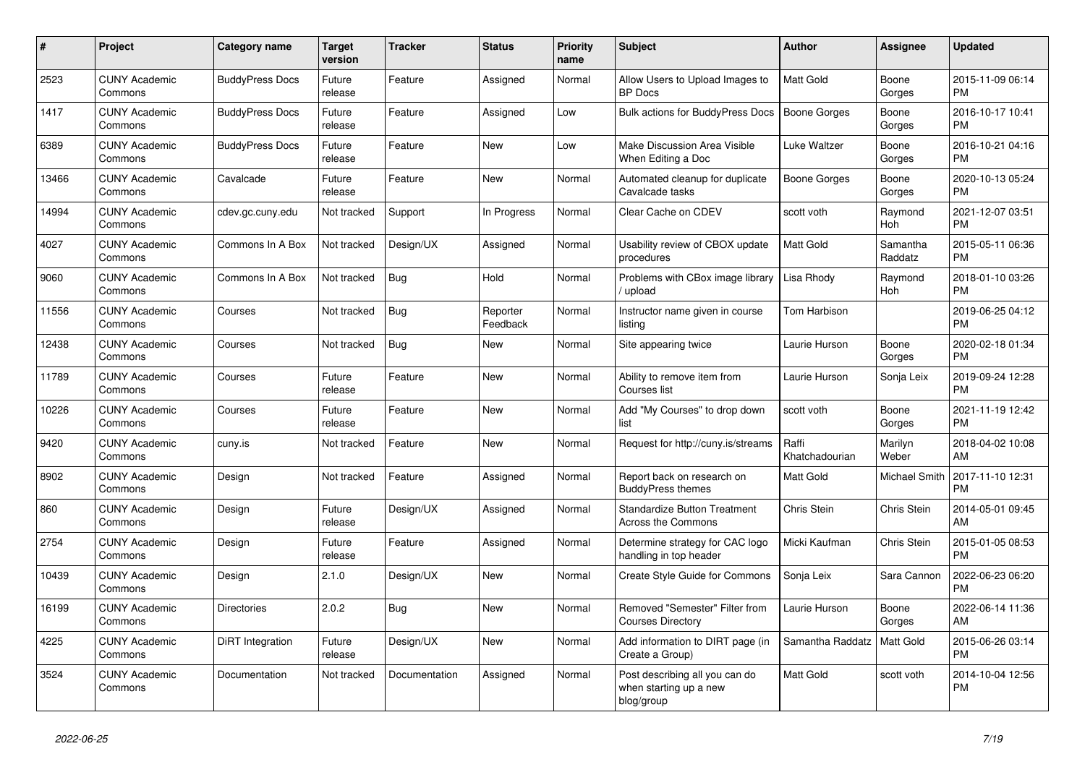| #     | <b>Project</b>                  | <b>Category name</b>   | <b>Target</b><br>version | <b>Tracker</b> | <b>Status</b>        | <b>Priority</b><br>name | <b>Subject</b>                                                         | <b>Author</b>           | Assignee            | <b>Updated</b>                |
|-------|---------------------------------|------------------------|--------------------------|----------------|----------------------|-------------------------|------------------------------------------------------------------------|-------------------------|---------------------|-------------------------------|
| 2523  | <b>CUNY Academic</b><br>Commons | <b>BuddyPress Docs</b> | Future<br>release        | Feature        | Assigned             | Normal                  | Allow Users to Upload Images to<br><b>BP</b> Docs                      | Matt Gold               | Boone<br>Gorges     | 2015-11-09 06:14<br><b>PM</b> |
| 1417  | <b>CUNY Academic</b><br>Commons | <b>BuddyPress Docs</b> | Future<br>release        | Feature        | Assigned             | Low                     | <b>Bulk actions for BuddyPress Docs</b>                                | <b>Boone Gorges</b>     | Boone<br>Gorges     | 2016-10-17 10:41<br><b>PM</b> |
| 6389  | <b>CUNY Academic</b><br>Commons | <b>BuddyPress Docs</b> | Future<br>release        | Feature        | New                  | Low                     | Make Discussion Area Visible<br>When Editing a Doc                     | Luke Waltzer            | Boone<br>Gorges     | 2016-10-21 04:16<br><b>PM</b> |
| 13466 | <b>CUNY Academic</b><br>Commons | Cavalcade              | Future<br>release        | Feature        | <b>New</b>           | Normal                  | Automated cleanup for duplicate<br>Cavalcade tasks                     | <b>Boone Gorges</b>     | Boone<br>Gorges     | 2020-10-13 05:24<br><b>PM</b> |
| 14994 | <b>CUNY Academic</b><br>Commons | cdev.gc.cuny.edu       | Not tracked              | Support        | In Progress          | Normal                  | Clear Cache on CDEV                                                    | scott voth              | Raymond<br>Hoh      | 2021-12-07 03:51<br><b>PM</b> |
| 4027  | <b>CUNY Academic</b><br>Commons | Commons In A Box       | Not tracked              | Design/UX      | Assigned             | Normal                  | Usability review of CBOX update<br>procedures                          | Matt Gold               | Samantha<br>Raddatz | 2015-05-11 06:36<br><b>PM</b> |
| 9060  | <b>CUNY Academic</b><br>Commons | Commons In A Box       | Not tracked              | Bug            | Hold                 | Normal                  | Problems with CBox image library<br>upload                             | Lisa Rhody              | Raymond<br>Hoh      | 2018-01-10 03:26<br><b>PM</b> |
| 11556 | <b>CUNY Academic</b><br>Commons | Courses                | Not tracked              | Bug            | Reporter<br>Feedback | Normal                  | Instructor name given in course<br>listing                             | Tom Harbison            |                     | 2019-06-25 04:12<br><b>PM</b> |
| 12438 | <b>CUNY Academic</b><br>Commons | Courses                | Not tracked              | <b>Bug</b>     | New                  | Normal                  | Site appearing twice                                                   | Laurie Hurson           | Boone<br>Gorges     | 2020-02-18 01:34<br><b>PM</b> |
| 11789 | <b>CUNY Academic</b><br>Commons | Courses                | Future<br>release        | Feature        | New                  | Normal                  | Ability to remove item from<br>Courses list                            | Laurie Hurson           | Sonja Leix          | 2019-09-24 12:28<br><b>PM</b> |
| 10226 | <b>CUNY Academic</b><br>Commons | Courses                | Future<br>release        | Feature        | <b>New</b>           | Normal                  | Add "My Courses" to drop down<br>list                                  | scott voth              | Boone<br>Gorges     | 2021-11-19 12:42<br><b>PM</b> |
| 9420  | <b>CUNY Academic</b><br>Commons | cuny.is                | Not tracked              | Feature        | <b>New</b>           | Normal                  | Request for http://cuny.is/streams                                     | Raffi<br>Khatchadourian | Marilyn<br>Weber    | 2018-04-02 10:08<br>AM        |
| 8902  | <b>CUNY Academic</b><br>Commons | Design                 | Not tracked              | Feature        | Assigned             | Normal                  | Report back on research on<br><b>BuddyPress themes</b>                 | <b>Matt Gold</b>        | Michael Smith       | 2017-11-10 12:31<br><b>PM</b> |
| 860   | <b>CUNY Academic</b><br>Commons | Design                 | Future<br>release        | Design/UX      | Assigned             | Normal                  | <b>Standardize Button Treatment</b><br><b>Across the Commons</b>       | Chris Stein             | Chris Stein         | 2014-05-01 09:45<br>AM        |
| 2754  | <b>CUNY Academic</b><br>Commons | Design                 | Future<br>release        | Feature        | Assigned             | Normal                  | Determine strategy for CAC logo<br>handling in top header              | Micki Kaufman           | Chris Stein         | 2015-01-05 08:53<br><b>PM</b> |
| 10439 | <b>CUNY Academic</b><br>Commons | Design                 | 2.1.0                    | Design/UX      | New                  | Normal                  | Create Style Guide for Commons                                         | Sonja Leix              | Sara Cannon         | 2022-06-23 06:20<br><b>PM</b> |
| 16199 | <b>CUNY Academic</b><br>Commons | <b>Directories</b>     | 2.0.2                    | <b>Bug</b>     | <b>New</b>           | Normal                  | Removed "Semester" Filter from<br><b>Courses Directory</b>             | Laurie Hurson           | Boone<br>Gorges     | 2022-06-14 11:36<br>AM        |
| 4225  | <b>CUNY Academic</b><br>Commons | DiRT Integration       | Future<br>release        | Design/UX      | <b>New</b>           | Normal                  | Add information to DIRT page (in<br>Create a Group)                    | Samantha Raddatz        | Matt Gold           | 2015-06-26 03:14<br><b>PM</b> |
| 3524  | <b>CUNY Academic</b><br>Commons | Documentation          | Not tracked              | Documentation  | Assigned             | Normal                  | Post describing all you can do<br>when starting up a new<br>blog/group | Matt Gold               | scott voth          | 2014-10-04 12:56<br><b>PM</b> |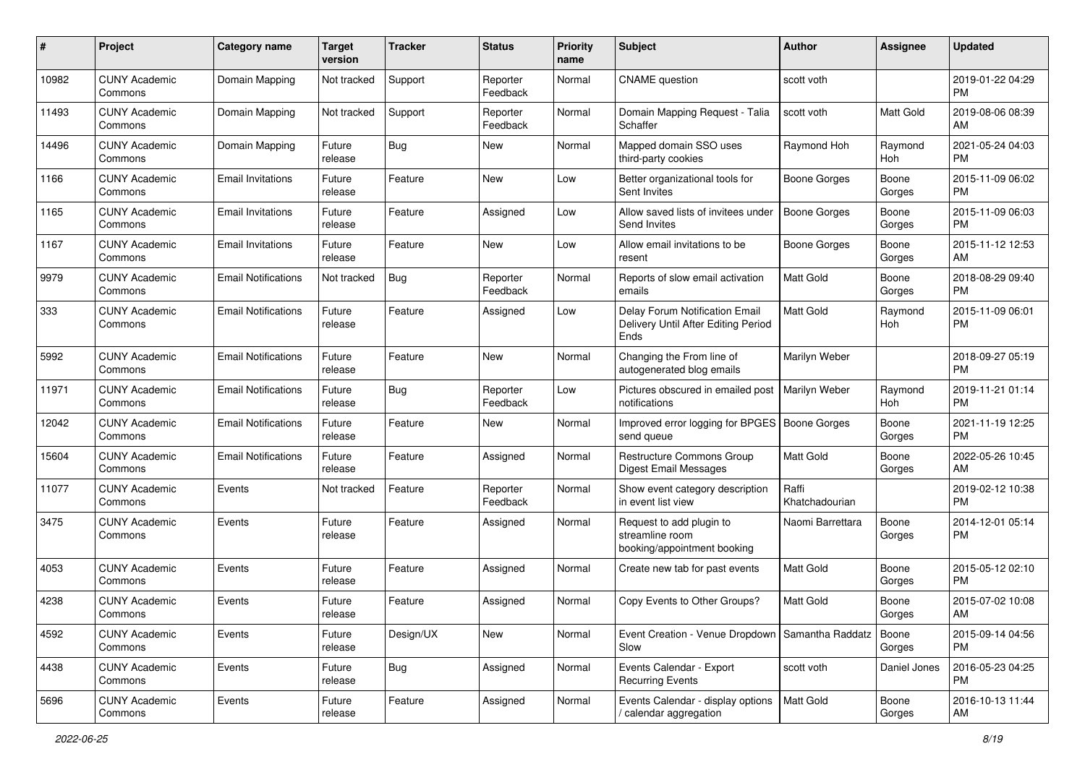| #     | Project                         | <b>Category name</b>       | <b>Target</b><br>version | <b>Tracker</b> | <b>Status</b>        | <b>Priority</b><br>name | Subject                                                                       | <b>Author</b>           | <b>Assignee</b> | <b>Updated</b>                |
|-------|---------------------------------|----------------------------|--------------------------|----------------|----------------------|-------------------------|-------------------------------------------------------------------------------|-------------------------|-----------------|-------------------------------|
| 10982 | <b>CUNY Academic</b><br>Commons | Domain Mapping             | Not tracked              | Support        | Reporter<br>Feedback | Normal                  | <b>CNAME</b> question                                                         | scott voth              |                 | 2019-01-22 04:29<br>PM        |
| 11493 | <b>CUNY Academic</b><br>Commons | Domain Mapping             | Not tracked              | Support        | Reporter<br>Feedback | Normal                  | Domain Mapping Request - Talia<br>Schaffer                                    | scott voth              | Matt Gold       | 2019-08-06 08:39<br>AM        |
| 14496 | <b>CUNY Academic</b><br>Commons | Domain Mapping             | Future<br>release        | <b>Bug</b>     | New                  | Normal                  | Mapped domain SSO uses<br>third-party cookies                                 | Raymond Hoh             | Raymond<br>Hoh  | 2021-05-24 04:03<br><b>PM</b> |
| 1166  | <b>CUNY Academic</b><br>Commons | <b>Email Invitations</b>   | Future<br>release        | Feature        | New                  | Low                     | Better organizational tools for<br>Sent Invites                               | <b>Boone Gorges</b>     | Boone<br>Gorges | 2015-11-09 06:02<br><b>PM</b> |
| 1165  | <b>CUNY Academic</b><br>Commons | <b>Email Invitations</b>   | Future<br>release        | Feature        | Assigned             | Low                     | Allow saved lists of invitees under<br>Send Invites                           | <b>Boone Gorges</b>     | Boone<br>Gorges | 2015-11-09 06:03<br><b>PM</b> |
| 1167  | <b>CUNY Academic</b><br>Commons | <b>Email Invitations</b>   | Future<br>release        | Feature        | New                  | Low                     | Allow email invitations to be<br>resent                                       | <b>Boone Gorges</b>     | Boone<br>Gorges | 2015-11-12 12:53<br>AM        |
| 9979  | <b>CUNY Academic</b><br>Commons | <b>Email Notifications</b> | Not tracked              | <b>Bug</b>     | Reporter<br>Feedback | Normal                  | Reports of slow email activation<br>emails                                    | Matt Gold               | Boone<br>Gorges | 2018-08-29 09:40<br><b>PM</b> |
| 333   | <b>CUNY Academic</b><br>Commons | <b>Email Notifications</b> | Future<br>release        | Feature        | Assigned             | Low                     | Delay Forum Notification Email<br>Delivery Until After Editing Period<br>Ends | <b>Matt Gold</b>        | Raymond<br>Hoh  | 2015-11-09 06:01<br>PM        |
| 5992  | <b>CUNY Academic</b><br>Commons | <b>Email Notifications</b> | Future<br>release        | Feature        | New                  | Normal                  | Changing the From line of<br>autogenerated blog emails                        | Marilyn Weber           |                 | 2018-09-27 05:19<br><b>PM</b> |
| 11971 | <b>CUNY Academic</b><br>Commons | <b>Email Notifications</b> | Future<br>release        | Bug            | Reporter<br>Feedback | Low                     | Pictures obscured in emailed post<br>notifications                            | Marilyn Weber           | Raymond<br>Hoh  | 2019-11-21 01:14<br><b>PM</b> |
| 12042 | <b>CUNY Academic</b><br>Commons | <b>Email Notifications</b> | Future<br>release        | Feature        | New                  | Normal                  | Improved error logging for BPGES   Boone Gorges<br>send queue                 |                         | Boone<br>Gorges | 2021-11-19 12:25<br><b>PM</b> |
| 15604 | <b>CUNY Academic</b><br>Commons | <b>Email Notifications</b> | Future<br>release        | Feature        | Assigned             | Normal                  | Restructure Commons Group<br><b>Digest Email Messages</b>                     | Matt Gold               | Boone<br>Gorges | 2022-05-26 10:45<br>AM        |
| 11077 | <b>CUNY Academic</b><br>Commons | Events                     | Not tracked              | Feature        | Reporter<br>Feedback | Normal                  | Show event category description<br>in event list view                         | Raffi<br>Khatchadourian |                 | 2019-02-12 10:38<br><b>PM</b> |
| 3475  | <b>CUNY Academic</b><br>Commons | Events                     | Future<br>release        | Feature        | Assigned             | Normal                  | Request to add plugin to<br>streamline room<br>booking/appointment booking    | Naomi Barrettara        | Boone<br>Gorges | 2014-12-01 05:14<br><b>PM</b> |
| 4053  | <b>CUNY Academic</b><br>Commons | Events                     | Future<br>release        | Feature        | Assigned             | Normal                  | Create new tab for past events                                                | <b>Matt Gold</b>        | Boone<br>Gorges | 2015-05-12 02:10<br><b>PM</b> |
| 4238  | <b>CUNY Academic</b><br>Commons | Events                     | Future<br>release        | Feature        | Assigned             | Normal                  | Copy Events to Other Groups?                                                  | Matt Gold               | Boone<br>Gorges | 2015-07-02 10:08<br>AM        |
| 4592  | <b>CUNY Academic</b><br>Commons | Events                     | Future<br>release        | Design/UX      | New                  | Normal                  | Event Creation - Venue Dropdown   Samantha Raddatz<br>Slow                    |                         | Boone<br>Gorges | 2015-09-14 04:56<br><b>PM</b> |
| 4438  | <b>CUNY Academic</b><br>Commons | Events                     | Future<br>release        | <b>Bug</b>     | Assigned             | Normal                  | Events Calendar - Export<br><b>Recurring Events</b>                           | scott voth              | Daniel Jones    | 2016-05-23 04:25<br><b>PM</b> |
| 5696  | <b>CUNY Academic</b><br>Commons | Events                     | Future<br>release        | Feature        | Assigned             | Normal                  | Events Calendar - display options<br>/ calendar aggregation                   | <b>Matt Gold</b>        | Boone<br>Gorges | 2016-10-13 11:44<br>AM        |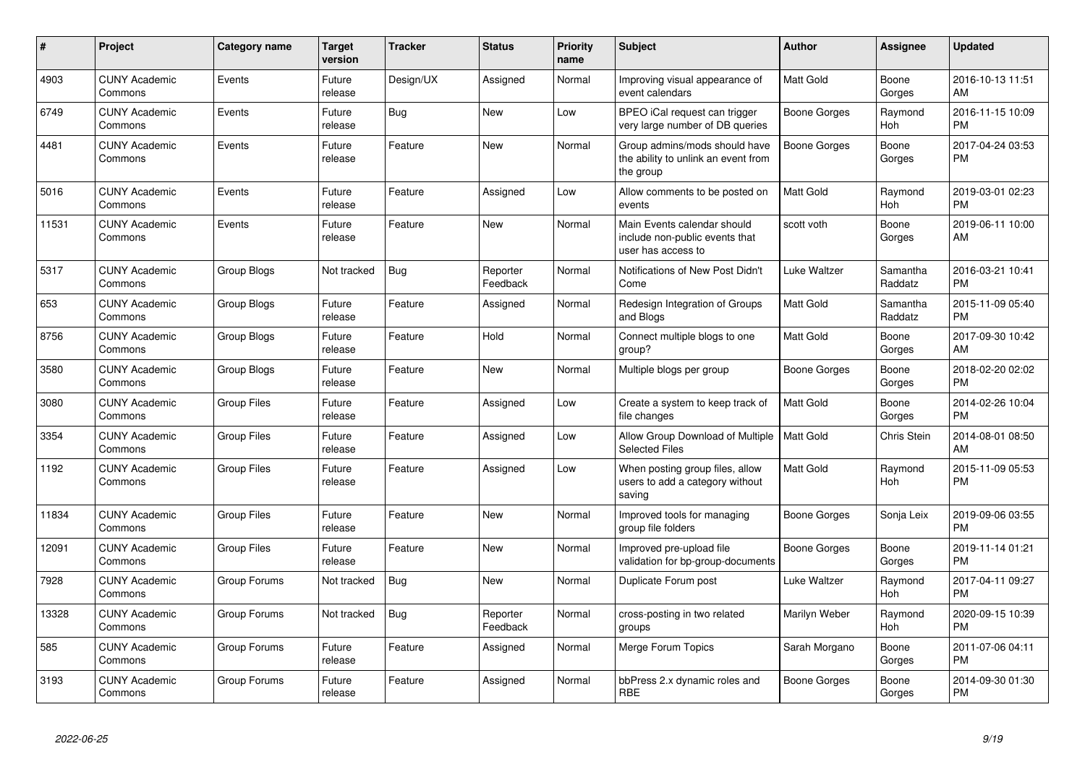| #     | <b>Project</b>                  | <b>Category name</b> | <b>Target</b><br>version | <b>Tracker</b> | <b>Status</b>        | Priority<br>name | Subject                                                                             | <b>Author</b>       | Assignee            | <b>Updated</b>                |
|-------|---------------------------------|----------------------|--------------------------|----------------|----------------------|------------------|-------------------------------------------------------------------------------------|---------------------|---------------------|-------------------------------|
| 4903  | <b>CUNY Academic</b><br>Commons | Events               | Future<br>release        | Design/UX      | Assigned             | Normal           | Improving visual appearance of<br>event calendars                                   | Matt Gold           | Boone<br>Gorges     | 2016-10-13 11:51<br>AM        |
| 6749  | <b>CUNY Academic</b><br>Commons | Events               | Future<br>release        | Bug            | <b>New</b>           | Low              | BPEO iCal request can trigger<br>very large number of DB queries                    | <b>Boone Gorges</b> | Raymond<br>Hoh      | 2016-11-15 10:09<br><b>PM</b> |
| 4481  | <b>CUNY Academic</b><br>Commons | Events               | Future<br>release        | Feature        | <b>New</b>           | Normal           | Group admins/mods should have<br>the ability to unlink an event from<br>the group   | Boone Gorges        | Boone<br>Gorges     | 2017-04-24 03:53<br><b>PM</b> |
| 5016  | <b>CUNY Academic</b><br>Commons | Events               | Future<br>release        | Feature        | Assigned             | Low              | Allow comments to be posted on<br>events                                            | Matt Gold           | Raymond<br>Hoh      | 2019-03-01 02:23<br>PМ        |
| 11531 | <b>CUNY Academic</b><br>Commons | Events               | Future<br>release        | Feature        | New                  | Normal           | Main Events calendar should<br>include non-public events that<br>user has access to | scott voth          | Boone<br>Gorges     | 2019-06-11 10:00<br>AM        |
| 5317  | <b>CUNY Academic</b><br>Commons | Group Blogs          | Not tracked              | <b>Bug</b>     | Reporter<br>Feedback | Normal           | Notifications of New Post Didn't<br>Come                                            | Luke Waltzer        | Samantha<br>Raddatz | 2016-03-21 10:41<br><b>PM</b> |
| 653   | <b>CUNY Academic</b><br>Commons | Group Blogs          | Future<br>release        | Feature        | Assigned             | Normal           | Redesign Integration of Groups<br>and Blogs                                         | Matt Gold           | Samantha<br>Raddatz | 2015-11-09 05:40<br><b>PM</b> |
| 8756  | <b>CUNY Academic</b><br>Commons | Group Blogs          | Future<br>release        | Feature        | Hold                 | Normal           | Connect multiple blogs to one<br>group?                                             | Matt Gold           | Boone<br>Gorges     | 2017-09-30 10:42<br>AM        |
| 3580  | <b>CUNY Academic</b><br>Commons | Group Blogs          | Future<br>release        | Feature        | New                  | Normal           | Multiple blogs per group                                                            | <b>Boone Gorges</b> | Boone<br>Gorges     | 2018-02-20 02:02<br><b>PM</b> |
| 3080  | <b>CUNY Academic</b><br>Commons | <b>Group Files</b>   | Future<br>release        | Feature        | Assigned             | Low              | Create a system to keep track of<br>file changes                                    | Matt Gold           | Boone<br>Gorges     | 2014-02-26 10:04<br><b>PM</b> |
| 3354  | <b>CUNY Academic</b><br>Commons | <b>Group Files</b>   | Future<br>release        | Feature        | Assigned             | Low              | Allow Group Download of Multiple<br><b>Selected Files</b>                           | <b>Matt Gold</b>    | Chris Stein         | 2014-08-01 08:50<br>AM        |
| 1192  | <b>CUNY Academic</b><br>Commons | <b>Group Files</b>   | Future<br>release        | Feature        | Assigned             | Low              | When posting group files, allow<br>users to add a category without<br>saving        | Matt Gold           | Raymond<br>Hoh      | 2015-11-09 05:53<br><b>PM</b> |
| 11834 | <b>CUNY Academic</b><br>Commons | <b>Group Files</b>   | Future<br>release        | Feature        | New                  | Normal           | Improved tools for managing<br>group file folders                                   | Boone Gorges        | Sonja Leix          | 2019-09-06 03:55<br><b>PM</b> |
| 12091 | <b>CUNY Academic</b><br>Commons | <b>Group Files</b>   | Future<br>release        | Feature        | New                  | Normal           | Improved pre-upload file<br>validation for bp-group-documents                       | <b>Boone Gorges</b> | Boone<br>Gorges     | 2019-11-14 01:21<br>PМ        |
| 7928  | <b>CUNY Academic</b><br>Commons | Group Forums         | Not tracked              | Bug            | New                  | Normal           | Duplicate Forum post                                                                | Luke Waltzer        | Raymond<br>Hoh      | 2017-04-11 09:27<br><b>PM</b> |
| 13328 | <b>CUNY Academic</b><br>Commons | Group Forums         | Not tracked              | <b>Bug</b>     | Reporter<br>Feedback | Normal           | cross-posting in two related<br>groups                                              | Marilyn Weber       | Raymond<br>Hoh      | 2020-09-15 10:39<br><b>PM</b> |
| 585   | <b>CUNY Academic</b><br>Commons | Group Forums         | Future<br>release        | Feature        | Assigned             | Normal           | Merge Forum Topics                                                                  | Sarah Morgano       | Boone<br>Gorges     | 2011-07-06 04:11<br><b>PM</b> |
| 3193  | <b>CUNY Academic</b><br>Commons | Group Forums         | Future<br>release        | Feature        | Assigned             | Normal           | bbPress 2.x dynamic roles and<br>RBE                                                | Boone Gorges        | Boone<br>Gorges     | 2014-09-30 01:30<br><b>PM</b> |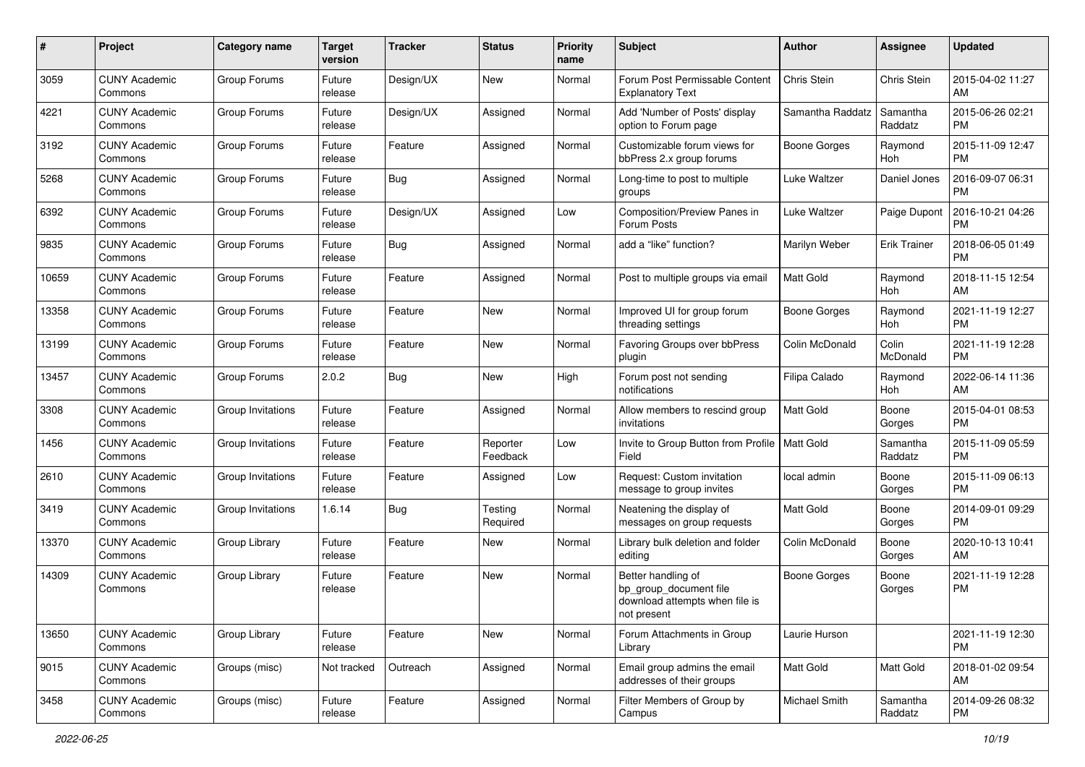| #     | Project                         | <b>Category name</b> | <b>Target</b><br>version | <b>Tracker</b> | <b>Status</b>        | <b>Priority</b><br>name | Subject                                                                                       | Author              | <b>Assignee</b>     | <b>Updated</b>                |
|-------|---------------------------------|----------------------|--------------------------|----------------|----------------------|-------------------------|-----------------------------------------------------------------------------------------------|---------------------|---------------------|-------------------------------|
| 3059  | <b>CUNY Academic</b><br>Commons | Group Forums         | Future<br>release        | Design/UX      | New                  | Normal                  | Forum Post Permissable Content<br><b>Explanatory Text</b>                                     | Chris Stein         | Chris Stein         | 2015-04-02 11:27<br>AM        |
| 4221  | <b>CUNY Academic</b><br>Commons | Group Forums         | Future<br>release        | Design/UX      | Assigned             | Normal                  | Add 'Number of Posts' display<br>option to Forum page                                         | Samantha Raddatz    | Samantha<br>Raddatz | 2015-06-26 02:21<br><b>PM</b> |
| 3192  | <b>CUNY Academic</b><br>Commons | Group Forums         | Future<br>release        | Feature        | Assigned             | Normal                  | Customizable forum views for<br>bbPress 2.x group forums                                      | <b>Boone Gorges</b> | Raymond<br>Hoh      | 2015-11-09 12:47<br><b>PM</b> |
| 5268  | <b>CUNY Academic</b><br>Commons | Group Forums         | Future<br>release        | Bug            | Assigned             | Normal                  | Long-time to post to multiple<br>groups                                                       | Luke Waltzer        | Daniel Jones        | 2016-09-07 06:31<br><b>PM</b> |
| 6392  | <b>CUNY Academic</b><br>Commons | Group Forums         | Future<br>release        | Design/UX      | Assigned             | Low                     | Composition/Preview Panes in<br>Forum Posts                                                   | Luke Waltzer        | Paige Dupont        | 2016-10-21 04:26<br><b>PM</b> |
| 9835  | <b>CUNY Academic</b><br>Commons | Group Forums         | Future<br>release        | Bug            | Assigned             | Normal                  | add a "like" function?                                                                        | Marilyn Weber       | <b>Erik Trainer</b> | 2018-06-05 01:49<br><b>PM</b> |
| 10659 | <b>CUNY Academic</b><br>Commons | Group Forums         | Future<br>release        | Feature        | Assigned             | Normal                  | Post to multiple groups via email                                                             | Matt Gold           | Raymond<br>Hoh      | 2018-11-15 12:54<br>AM        |
| 13358 | <b>CUNY Academic</b><br>Commons | Group Forums         | Future<br>release        | Feature        | New                  | Normal                  | Improved UI for group forum<br>threading settings                                             | <b>Boone Gorges</b> | Raymond<br>Hoh      | 2021-11-19 12:27<br><b>PM</b> |
| 13199 | <b>CUNY Academic</b><br>Commons | Group Forums         | Future<br>release        | Feature        | New                  | Normal                  | Favoring Groups over bbPress<br>plugin                                                        | Colin McDonald      | Colin<br>McDonald   | 2021-11-19 12:28<br><b>PM</b> |
| 13457 | <b>CUNY Academic</b><br>Commons | Group Forums         | 2.0.2                    | Bug            | New                  | High                    | Forum post not sending<br>notifications                                                       | Filipa Calado       | Raymond<br>Hoh      | 2022-06-14 11:36<br>AM        |
| 3308  | <b>CUNY Academic</b><br>Commons | Group Invitations    | Future<br>release        | Feature        | Assigned             | Normal                  | Allow members to rescind group<br>invitations                                                 | <b>Matt Gold</b>    | Boone<br>Gorges     | 2015-04-01 08:53<br><b>PM</b> |
| 1456  | <b>CUNY Academic</b><br>Commons | Group Invitations    | Future<br>release        | Feature        | Reporter<br>Feedback | Low                     | Invite to Group Button from Profile   Matt Gold<br>Field                                      |                     | Samantha<br>Raddatz | 2015-11-09 05:59<br><b>PM</b> |
| 2610  | <b>CUNY Academic</b><br>Commons | Group Invitations    | Future<br>release        | Feature        | Assigned             | Low                     | Request: Custom invitation<br>message to group invites                                        | local admin         | Boone<br>Gorges     | 2015-11-09 06:13<br>PM        |
| 3419  | <b>CUNY Academic</b><br>Commons | Group Invitations    | 1.6.14                   | Bug            | Testing<br>Required  | Normal                  | Neatening the display of<br>messages on group requests                                        | Matt Gold           | Boone<br>Gorges     | 2014-09-01 09:29<br>PM        |
| 13370 | <b>CUNY Academic</b><br>Commons | Group Library        | Future<br>release        | Feature        | <b>New</b>           | Normal                  | Library bulk deletion and folder<br>editing                                                   | Colin McDonald      | Boone<br>Gorges     | 2020-10-13 10:41<br>AM        |
| 14309 | <b>CUNY Academic</b><br>Commons | Group Library        | Future<br>release        | Feature        | New                  | Normal                  | Better handling of<br>bp_group_document file<br>download attempts when file is<br>not present | <b>Boone Gorges</b> | Boone<br>Gorges     | 2021-11-19 12:28<br>PM        |
| 13650 | <b>CUNY Academic</b><br>Commons | Group Library        | Future<br>release        | Feature        | New                  | Normal                  | Forum Attachments in Group<br>Library                                                         | Laurie Hurson       |                     | 2021-11-19 12:30<br>PM        |
| 9015  | <b>CUNY Academic</b><br>Commons | Groups (misc)        | Not tracked              | Outreach       | Assigned             | Normal                  | Email group admins the email<br>addresses of their groups                                     | Matt Gold           | Matt Gold           | 2018-01-02 09:54<br>AM        |
| 3458  | <b>CUNY Academic</b><br>Commons | Groups (misc)        | Future<br>release        | Feature        | Assigned             | Normal                  | Filter Members of Group by<br>Campus                                                          | Michael Smith       | Samantha<br>Raddatz | 2014-09-26 08:32<br><b>PM</b> |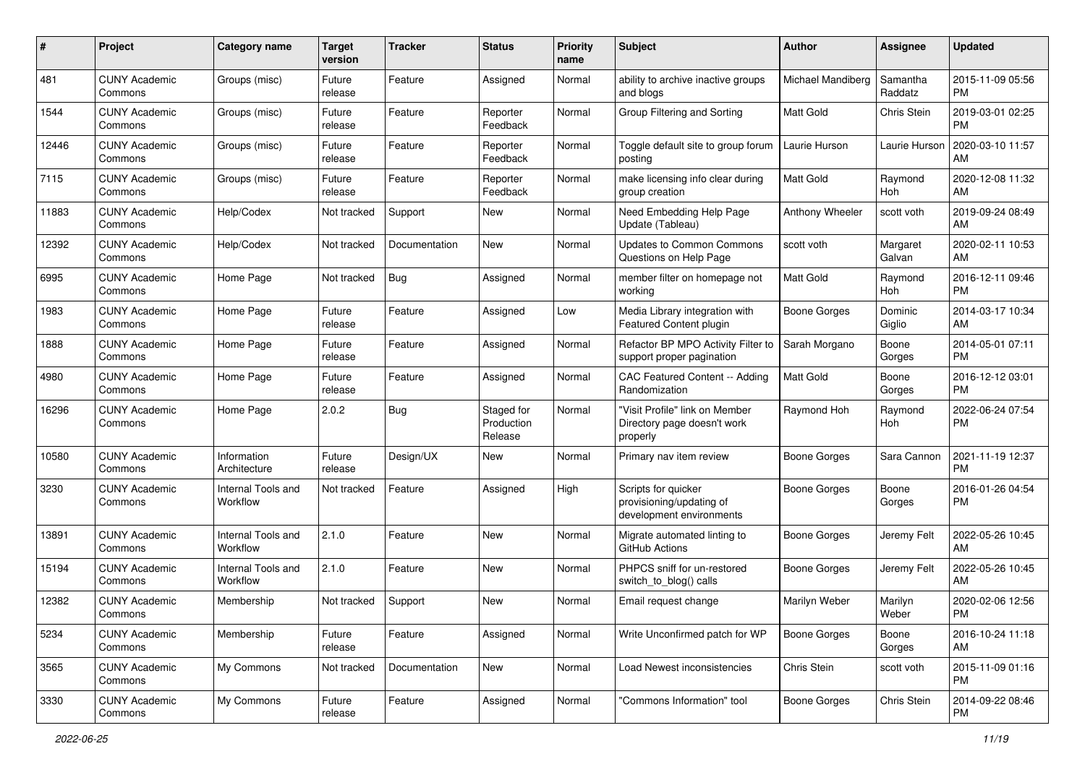| #     | Project                         | <b>Category name</b>           | <b>Target</b><br>version | <b>Tracker</b> | <b>Status</b>                       | <b>Priority</b><br>name | Subject                                                                     | Author              | <b>Assignee</b>     | <b>Updated</b>                |
|-------|---------------------------------|--------------------------------|--------------------------|----------------|-------------------------------------|-------------------------|-----------------------------------------------------------------------------|---------------------|---------------------|-------------------------------|
| 481   | <b>CUNY Academic</b><br>Commons | Groups (misc)                  | Future<br>release        | Feature        | Assigned                            | Normal                  | ability to archive inactive groups<br>and blogs                             | Michael Mandiberg   | Samantha<br>Raddatz | 2015-11-09 05:56<br><b>PM</b> |
| 1544  | <b>CUNY Academic</b><br>Commons | Groups (misc)                  | Future<br>release        | Feature        | Reporter<br>Feedback                | Normal                  | Group Filtering and Sorting                                                 | Matt Gold           | Chris Stein         | 2019-03-01 02:25<br><b>PM</b> |
| 12446 | <b>CUNY Academic</b><br>Commons | Groups (misc)                  | Future<br>release        | Feature        | Reporter<br>Feedback                | Normal                  | Toggle default site to group forum<br>posting                               | Laurie Hurson       | Laurie Hurson       | 2020-03-10 11:57<br>AM        |
| 7115  | <b>CUNY Academic</b><br>Commons | Groups (misc)                  | Future<br>release        | Feature        | Reporter<br>Feedback                | Normal                  | make licensing info clear during<br>group creation                          | <b>Matt Gold</b>    | Raymond<br>Hoh      | 2020-12-08 11:32<br>AM        |
| 11883 | <b>CUNY Academic</b><br>Commons | Help/Codex                     | Not tracked              | Support        | <b>New</b>                          | Normal                  | Need Embedding Help Page<br>Update (Tableau)                                | Anthony Wheeler     | scott voth          | 2019-09-24 08:49<br>AM        |
| 12392 | <b>CUNY Academic</b><br>Commons | Help/Codex                     | Not tracked              | Documentation  | New                                 | Normal                  | Updates to Common Commons<br>Questions on Help Page                         | scott voth          | Margaret<br>Galvan  | 2020-02-11 10:53<br>AM        |
| 6995  | <b>CUNY Academic</b><br>Commons | Home Page                      | Not tracked              | Bug            | Assigned                            | Normal                  | member filter on homepage not<br>working                                    | Matt Gold           | Raymond<br>Hoh      | 2016-12-11 09:46<br><b>PM</b> |
| 1983  | <b>CUNY Academic</b><br>Commons | Home Page                      | Future<br>release        | Feature        | Assigned                            | Low                     | Media Library integration with<br>Featured Content plugin                   | <b>Boone Gorges</b> | Dominic<br>Giglio   | 2014-03-17 10:34<br>AM        |
| 1888  | <b>CUNY Academic</b><br>Commons | Home Page                      | Future<br>release        | Feature        | Assigned                            | Normal                  | Refactor BP MPO Activity Filter to<br>support proper pagination             | Sarah Morgano       | Boone<br>Gorges     | 2014-05-01 07:11<br><b>PM</b> |
| 4980  | <b>CUNY Academic</b><br>Commons | Home Page                      | Future<br>release        | Feature        | Assigned                            | Normal                  | CAC Featured Content -- Adding<br>Randomization                             | <b>Matt Gold</b>    | Boone<br>Gorges     | 2016-12-12 03:01<br><b>PM</b> |
| 16296 | <b>CUNY Academic</b><br>Commons | Home Page                      | 2.0.2                    | Bug            | Staged for<br>Production<br>Release | Normal                  | "Visit Profile" link on Member<br>Directory page doesn't work<br>properly   | Raymond Hoh         | Raymond<br>Hoh      | 2022-06-24 07:54<br>PM        |
| 10580 | <b>CUNY Academic</b><br>Commons | Information<br>Architecture    | Future<br>release        | Design/UX      | New                                 | Normal                  | Primary nav item review                                                     | Boone Gorges        | Sara Cannon         | 2021-11-19 12:37<br><b>PM</b> |
| 3230  | <b>CUNY Academic</b><br>Commons | Internal Tools and<br>Workflow | Not tracked              | Feature        | Assigned                            | High                    | Scripts for quicker<br>provisioning/updating of<br>development environments | Boone Gorges        | Boone<br>Gorges     | 2016-01-26 04:54<br><b>PM</b> |
| 13891 | <b>CUNY Academic</b><br>Commons | Internal Tools and<br>Workflow | 2.1.0                    | Feature        | New                                 | Normal                  | Migrate automated linting to<br>GitHub Actions                              | Boone Gorges        | Jeremy Felt         | 2022-05-26 10:45<br>AM        |
| 15194 | <b>CUNY Academic</b><br>Commons | Internal Tools and<br>Workflow | 2.1.0                    | Feature        | New                                 | Normal                  | PHPCS sniff for un-restored<br>switch to blog() calls                       | Boone Gorges        | Jeremy Felt         | 2022-05-26 10:45<br>AM        |
| 12382 | <b>CUNY Academic</b><br>Commons | Membership                     | Not tracked              | Support        | New                                 | Normal                  | Email request change                                                        | Marilyn Weber       | Marilyn<br>Weber    | 2020-02-06 12:56<br>PM        |
| 5234  | <b>CUNY Academic</b><br>Commons | Membership                     | Future<br>release        | Feature        | Assigned                            | Normal                  | Write Unconfirmed patch for WP                                              | <b>Boone Gorges</b> | Boone<br>Gorges     | 2016-10-24 11:18<br>AM        |
| 3565  | <b>CUNY Academic</b><br>Commons | My Commons                     | Not tracked              | Documentation  | New                                 | Normal                  | Load Newest inconsistencies                                                 | Chris Stein         | scott voth          | 2015-11-09 01:16<br><b>PM</b> |
| 3330  | <b>CUNY Academic</b><br>Commons | My Commons                     | Future<br>release        | Feature        | Assigned                            | Normal                  | "Commons Information" tool                                                  | Boone Gorges        | Chris Stein         | 2014-09-22 08:46<br><b>PM</b> |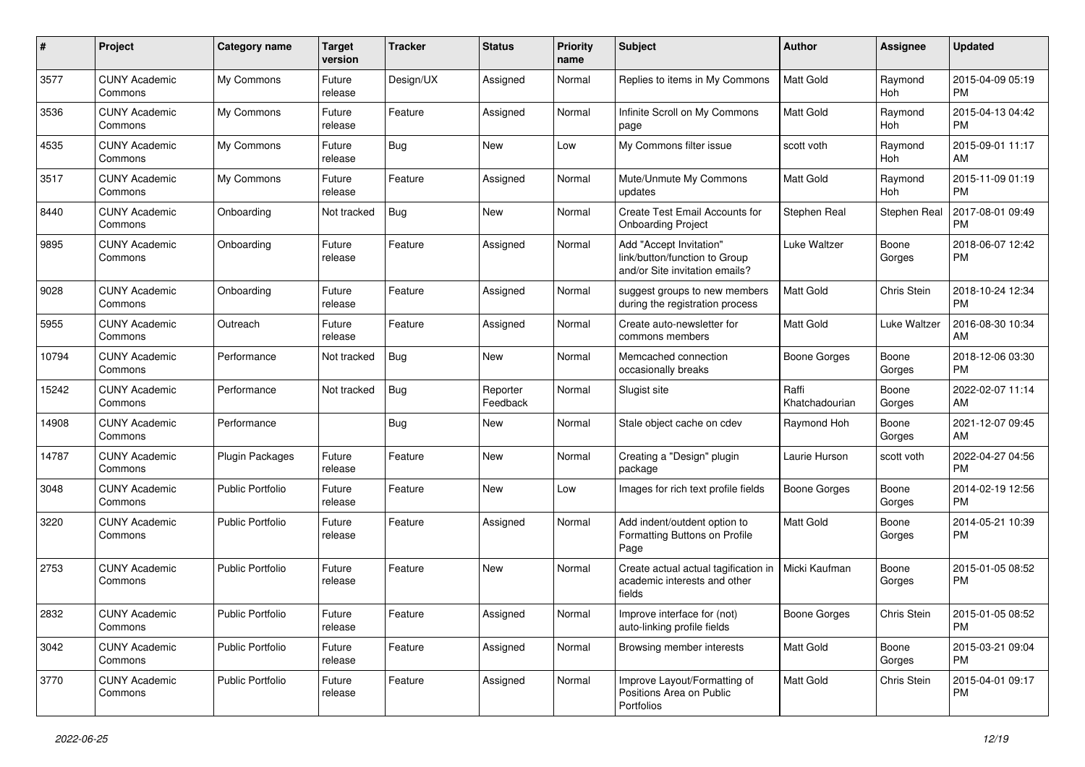| #     | Project                         | <b>Category name</b>    | <b>Target</b><br>version | <b>Tracker</b> | <b>Status</b>        | <b>Priority</b><br>name | <b>Subject</b>                                                                             | Author                  | Assignee        | <b>Updated</b>                |
|-------|---------------------------------|-------------------------|--------------------------|----------------|----------------------|-------------------------|--------------------------------------------------------------------------------------------|-------------------------|-----------------|-------------------------------|
| 3577  | <b>CUNY Academic</b><br>Commons | My Commons              | Future<br>release        | Design/UX      | Assigned             | Normal                  | Replies to items in My Commons                                                             | <b>Matt Gold</b>        | Raymond<br>Hoh  | 2015-04-09 05:19<br><b>PM</b> |
| 3536  | <b>CUNY Academic</b><br>Commons | My Commons              | Future<br>release        | Feature        | Assigned             | Normal                  | Infinite Scroll on My Commons<br>page                                                      | Matt Gold               | Raymond<br>Hoh  | 2015-04-13 04:42<br><b>PM</b> |
| 4535  | <b>CUNY Academic</b><br>Commons | My Commons              | Future<br>release        | Bug            | New                  | Low                     | My Commons filter issue                                                                    | scott voth              | Raymond<br>Hoh  | 2015-09-01 11:17<br>AM        |
| 3517  | <b>CUNY Academic</b><br>Commons | My Commons              | Future<br>release        | Feature        | Assigned             | Normal                  | Mute/Unmute My Commons<br>updates                                                          | <b>Matt Gold</b>        | Raymond<br>Hoh  | 2015-11-09 01:19<br><b>PM</b> |
| 8440  | <b>CUNY Academic</b><br>Commons | Onboarding              | Not tracked              | Bug            | New                  | Normal                  | Create Test Email Accounts for<br><b>Onboarding Project</b>                                | Stephen Real            | Stephen Real    | 2017-08-01 09:49<br><b>PM</b> |
| 9895  | <b>CUNY Academic</b><br>Commons | Onboarding              | Future<br>release        | Feature        | Assigned             | Normal                  | Add "Accept Invitation"<br>link/button/function to Group<br>and/or Site invitation emails? | Luke Waltzer            | Boone<br>Gorges | 2018-06-07 12:42<br>PM        |
| 9028  | <b>CUNY Academic</b><br>Commons | Onboarding              | Future<br>release        | Feature        | Assigned             | Normal                  | suggest groups to new members<br>during the registration process                           | <b>Matt Gold</b>        | Chris Stein     | 2018-10-24 12:34<br><b>PM</b> |
| 5955  | <b>CUNY Academic</b><br>Commons | Outreach                | Future<br>release        | Feature        | Assigned             | Normal                  | Create auto-newsletter for<br>commons members                                              | Matt Gold               | Luke Waltzer    | 2016-08-30 10:34<br>AM        |
| 10794 | <b>CUNY Academic</b><br>Commons | Performance             | Not tracked              | Bug            | New                  | Normal                  | Memcached connection<br>occasionally breaks                                                | <b>Boone Gorges</b>     | Boone<br>Gorges | 2018-12-06 03:30<br><b>PM</b> |
| 15242 | <b>CUNY Academic</b><br>Commons | Performance             | Not tracked              | <b>Bug</b>     | Reporter<br>Feedback | Normal                  | Slugist site                                                                               | Raffi<br>Khatchadourian | Boone<br>Gorges | 2022-02-07 11:14<br>AM        |
| 14908 | <b>CUNY Academic</b><br>Commons | Performance             |                          | <b>Bug</b>     | New                  | Normal                  | Stale object cache on cdev                                                                 | Raymond Hoh             | Boone<br>Gorges | 2021-12-07 09:45<br>AM        |
| 14787 | <b>CUNY Academic</b><br>Commons | Plugin Packages         | Future<br>release        | Feature        | New                  | Normal                  | Creating a "Design" plugin<br>package                                                      | Laurie Hurson           | scott voth      | 2022-04-27 04:56<br><b>PM</b> |
| 3048  | <b>CUNY Academic</b><br>Commons | <b>Public Portfolio</b> | Future<br>release        | Feature        | New                  | Low                     | Images for rich text profile fields                                                        | <b>Boone Gorges</b>     | Boone<br>Gorges | 2014-02-19 12:56<br><b>PM</b> |
| 3220  | <b>CUNY Academic</b><br>Commons | <b>Public Portfolio</b> | Future<br>release        | Feature        | Assigned             | Normal                  | Add indent/outdent option to<br>Formatting Buttons on Profile<br>Page                      | <b>Matt Gold</b>        | Boone<br>Gorges | 2014-05-21 10:39<br><b>PM</b> |
| 2753  | <b>CUNY Academic</b><br>Commons | Public Portfolio        | Future<br>release        | Feature        | New                  | Normal                  | Create actual actual tagification in<br>academic interests and other<br>fields             | Micki Kaufman           | Boone<br>Gorges | 2015-01-05 08:52<br><b>PM</b> |
| 2832  | <b>CUNY Academic</b><br>Commons | Public Portfolio        | Future<br>release        | Feature        | Assigned             | Normal                  | Improve interface for (not)<br>auto-linking profile fields                                 | <b>Boone Gorges</b>     | Chris Stein     | 2015-01-05 08:52<br><b>PM</b> |
| 3042  | <b>CUNY Academic</b><br>Commons | Public Portfolio        | Future<br>release        | Feature        | Assigned             | Normal                  | Browsing member interests                                                                  | Matt Gold               | Boone<br>Gorges | 2015-03-21 09:04<br><b>PM</b> |
| 3770  | <b>CUNY Academic</b><br>Commons | Public Portfolio        | Future<br>release        | Feature        | Assigned             | Normal                  | Improve Layout/Formatting of<br>Positions Area on Public<br>Portfolios                     | Matt Gold               | Chris Stein     | 2015-04-01 09:17<br><b>PM</b> |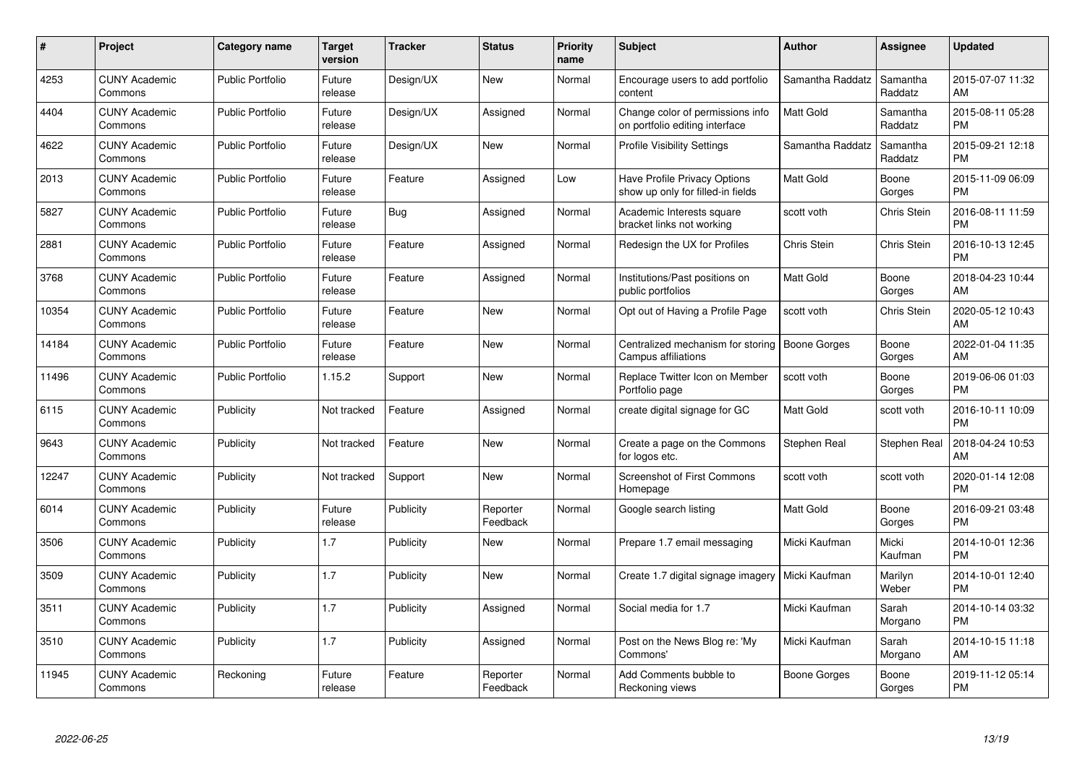| $\#$  | <b>Project</b>                  | Category name           | <b>Target</b><br>version | <b>Tracker</b> | <b>Status</b>        | <b>Priority</b><br>name | <b>Subject</b>                                                     | <b>Author</b>       | <b>Assignee</b>     | <b>Updated</b>                |
|-------|---------------------------------|-------------------------|--------------------------|----------------|----------------------|-------------------------|--------------------------------------------------------------------|---------------------|---------------------|-------------------------------|
| 4253  | <b>CUNY Academic</b><br>Commons | <b>Public Portfolio</b> | Future<br>release        | Design/UX      | <b>New</b>           | Normal                  | Encourage users to add portfolio<br>content                        | Samantha Raddatz    | Samantha<br>Raddatz | 2015-07-07 11:32<br>AM        |
| 4404  | <b>CUNY Academic</b><br>Commons | <b>Public Portfolio</b> | Future<br>release        | Design/UX      | Assigned             | Normal                  | Change color of permissions info<br>on portfolio editing interface | <b>Matt Gold</b>    | Samantha<br>Raddatz | 2015-08-11 05:28<br><b>PM</b> |
| 4622  | <b>CUNY Academic</b><br>Commons | <b>Public Portfolio</b> | Future<br>release        | Design/UX      | <b>New</b>           | Normal                  | <b>Profile Visibility Settings</b>                                 | Samantha Raddatz    | Samantha<br>Raddatz | 2015-09-21 12:18<br><b>PM</b> |
| 2013  | <b>CUNY Academic</b><br>Commons | <b>Public Portfolio</b> | Future<br>release        | Feature        | Assigned             | Low                     | Have Profile Privacy Options<br>show up only for filled-in fields  | <b>Matt Gold</b>    | Boone<br>Gorges     | 2015-11-09 06:09<br><b>PM</b> |
| 5827  | <b>CUNY Academic</b><br>Commons | <b>Public Portfolio</b> | Future<br>release        | <b>Bug</b>     | Assigned             | Normal                  | Academic Interests square<br>bracket links not working             | scott voth          | Chris Stein         | 2016-08-11 11:59<br><b>PM</b> |
| 2881  | <b>CUNY Academic</b><br>Commons | <b>Public Portfolio</b> | Future<br>release        | Feature        | Assigned             | Normal                  | Redesign the UX for Profiles                                       | Chris Stein         | Chris Stein         | 2016-10-13 12:45<br><b>PM</b> |
| 3768  | <b>CUNY Academic</b><br>Commons | <b>Public Portfolio</b> | Future<br>release        | Feature        | Assigned             | Normal                  | Institutions/Past positions on<br>public portfolios                | <b>Matt Gold</b>    | Boone<br>Gorges     | 2018-04-23 10:44<br>AM        |
| 10354 | <b>CUNY Academic</b><br>Commons | <b>Public Portfolio</b> | Future<br>release        | Feature        | <b>New</b>           | Normal                  | Opt out of Having a Profile Page                                   | scott voth          | Chris Stein         | 2020-05-12 10:43<br>AM        |
| 14184 | <b>CUNY Academic</b><br>Commons | <b>Public Portfolio</b> | Future<br>release        | Feature        | <b>New</b>           | Normal                  | Centralized mechanism for storing<br>Campus affiliations           | <b>Boone Gorges</b> | Boone<br>Gorges     | 2022-01-04 11:35<br>AM        |
| 11496 | <b>CUNY Academic</b><br>Commons | <b>Public Portfolio</b> | 1.15.2                   | Support        | <b>New</b>           | Normal                  | Replace Twitter Icon on Member<br>Portfolio page                   | scott voth          | Boone<br>Gorges     | 2019-06-06 01:03<br><b>PM</b> |
| 6115  | <b>CUNY Academic</b><br>Commons | Publicity               | Not tracked              | Feature        | Assigned             | Normal                  | create digital signage for GC                                      | Matt Gold           | scott voth          | 2016-10-11 10:09<br><b>PM</b> |
| 9643  | <b>CUNY Academic</b><br>Commons | Publicity               | Not tracked              | Feature        | New                  | Normal                  | Create a page on the Commons<br>for logos etc.                     | Stephen Real        | Stephen Real        | 2018-04-24 10:53<br>AM        |
| 12247 | <b>CUNY Academic</b><br>Commons | Publicity               | Not tracked              | Support        | <b>New</b>           | Normal                  | Screenshot of First Commons<br>Homepage                            | scott voth          | scott voth          | 2020-01-14 12:08<br><b>PM</b> |
| 6014  | <b>CUNY Academic</b><br>Commons | Publicity               | Future<br>release        | Publicity      | Reporter<br>Feedback | Normal                  | Google search listing                                              | <b>Matt Gold</b>    | Boone<br>Gorges     | 2016-09-21 03:48<br><b>PM</b> |
| 3506  | <b>CUNY Academic</b><br>Commons | Publicity               | 1.7                      | Publicity      | New                  | Normal                  | Prepare 1.7 email messaging                                        | Micki Kaufman       | Micki<br>Kaufman    | 2014-10-01 12:36<br><b>PM</b> |
| 3509  | <b>CUNY Academic</b><br>Commons | Publicity               | 1.7                      | Publicity      | <b>New</b>           | Normal                  | Create 1.7 digital signage imagery                                 | Micki Kaufman       | Marilyn<br>Weber    | 2014-10-01 12:40<br><b>PM</b> |
| 3511  | <b>CUNY Academic</b><br>Commons | Publicity               | 1.7                      | Publicity      | Assigned             | Normal                  | Social media for 1.7                                               | Micki Kaufman       | Sarah<br>Morgano    | 2014-10-14 03:32<br><b>PM</b> |
| 3510  | <b>CUNY Academic</b><br>Commons | Publicity               | 1.7                      | Publicity      | Assigned             | Normal                  | Post on the News Blog re: 'My<br>Commons'                          | Micki Kaufman       | Sarah<br>Morgano    | 2014-10-15 11:18<br>AM        |
| 11945 | CUNY Academic<br>Commons        | Reckoning               | Future<br>release        | Feature        | Reporter<br>Feedback | Normal                  | Add Comments bubble to<br>Reckoning views                          | Boone Gorges        | Boone<br>Gorges     | 2019-11-12 05:14<br>PM        |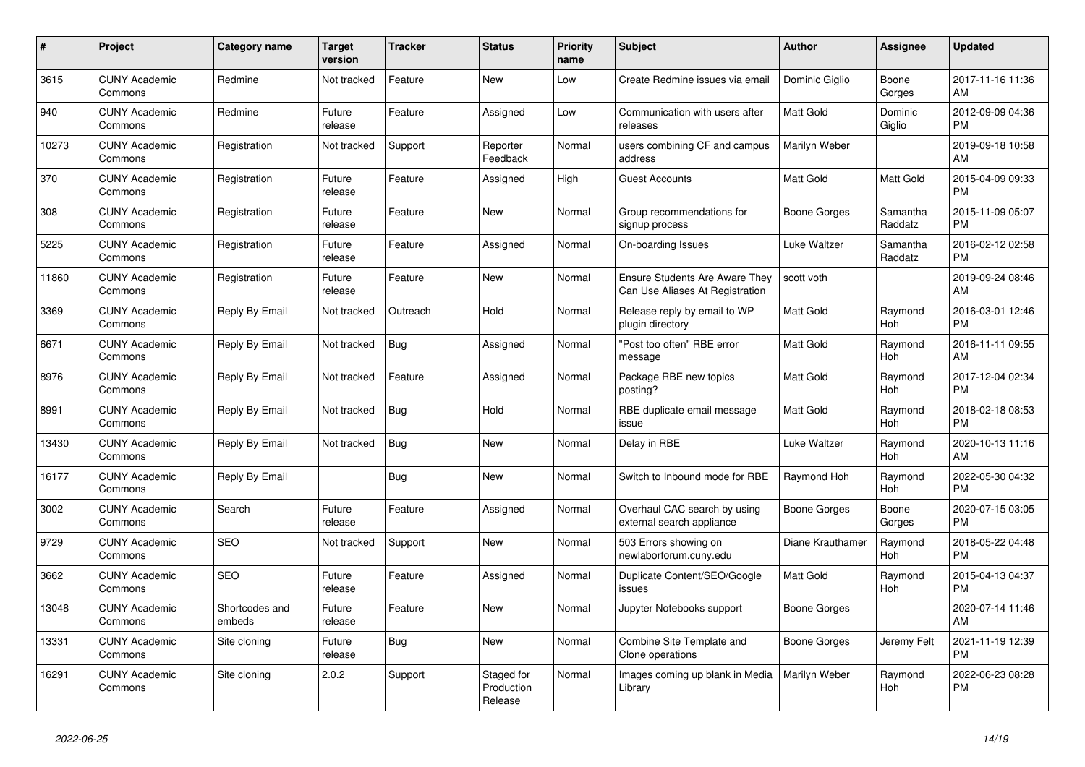| #     | Project                         | Category name            | Target<br>version | <b>Tracker</b> | <b>Status</b>                       | <b>Priority</b><br>name | <b>Subject</b>                                                           | <b>Author</b>    | Assignee              | <b>Updated</b>                |
|-------|---------------------------------|--------------------------|-------------------|----------------|-------------------------------------|-------------------------|--------------------------------------------------------------------------|------------------|-----------------------|-------------------------------|
| 3615  | <b>CUNY Academic</b><br>Commons | Redmine                  | Not tracked       | Feature        | <b>New</b>                          | Low                     | Create Redmine issues via email                                          | Dominic Giglio   | Boone<br>Gorges       | 2017-11-16 11:36<br>AM        |
| 940   | <b>CUNY Academic</b><br>Commons | Redmine                  | Future<br>release | Feature        | Assigned                            | Low                     | Communication with users after<br>releases                               | <b>Matt Gold</b> | Dominic<br>Giglio     | 2012-09-09 04:36<br><b>PM</b> |
| 10273 | <b>CUNY Academic</b><br>Commons | Registration             | Not tracked       | Support        | Reporter<br>Feedback                | Normal                  | users combining CF and campus<br>address                                 | Marilyn Weber    |                       | 2019-09-18 10:58<br>AM        |
| 370   | <b>CUNY Academic</b><br>Commons | Registration             | Future<br>release | Feature        | Assigned                            | High                    | <b>Guest Accounts</b>                                                    | <b>Matt Gold</b> | Matt Gold             | 2015-04-09 09:33<br><b>PM</b> |
| 308   | <b>CUNY Academic</b><br>Commons | Registration             | Future<br>release | Feature        | <b>New</b>                          | Normal                  | Group recommendations for<br>signup process                              | Boone Gorges     | Samantha<br>Raddatz   | 2015-11-09 05:07<br><b>PM</b> |
| 5225  | <b>CUNY Academic</b><br>Commons | Registration             | Future<br>release | Feature        | Assigned                            | Normal                  | On-boarding Issues                                                       | Luke Waltzer     | Samantha<br>Raddatz   | 2016-02-12 02:58<br><b>PM</b> |
| 11860 | <b>CUNY Academic</b><br>Commons | Registration             | Future<br>release | Feature        | <b>New</b>                          | Normal                  | <b>Ensure Students Are Aware They</b><br>Can Use Aliases At Registration | scott voth       |                       | 2019-09-24 08:46<br>AM        |
| 3369  | <b>CUNY Academic</b><br>Commons | Reply By Email           | Not tracked       | Outreach       | Hold                                | Normal                  | Release reply by email to WP<br>plugin directory                         | <b>Matt Gold</b> | Raymond<br>Hoh        | 2016-03-01 12:46<br>PM        |
| 6671  | <b>CUNY Academic</b><br>Commons | Reply By Email           | Not tracked       | <b>Bug</b>     | Assigned                            | Normal                  | "Post too often" RBE error<br>message                                    | Matt Gold        | Raymond<br>Hoh        | 2016-11-11 09:55<br>AM        |
| 8976  | <b>CUNY Academic</b><br>Commons | Reply By Email           | Not tracked       | Feature        | Assigned                            | Normal                  | Package RBE new topics<br>posting?                                       | <b>Matt Gold</b> | Raymond<br>Hoh        | 2017-12-04 02:34<br><b>PM</b> |
| 8991  | <b>CUNY Academic</b><br>Commons | Reply By Email           | Not tracked       | Bug            | Hold                                | Normal                  | RBE duplicate email message<br>issue                                     | <b>Matt Gold</b> | Raymond<br>Hoh        | 2018-02-18 08:53<br><b>PM</b> |
| 13430 | <b>CUNY Academic</b><br>Commons | Reply By Email           | Not tracked       | <b>Bug</b>     | <b>New</b>                          | Normal                  | Delay in RBE                                                             | Luke Waltzer     | Raymond<br><b>Hoh</b> | 2020-10-13 11:16<br>AM        |
| 16177 | <b>CUNY Academic</b><br>Commons | Reply By Email           |                   | Bug            | <b>New</b>                          | Normal                  | Switch to Inbound mode for RBE                                           | Raymond Hoh      | Raymond<br>Hoh        | 2022-05-30 04:32<br><b>PM</b> |
| 3002  | <b>CUNY Academic</b><br>Commons | Search                   | Future<br>release | Feature        | Assigned                            | Normal                  | Overhaul CAC search by using<br>external search appliance                | Boone Gorges     | Boone<br>Gorges       | 2020-07-15 03:05<br><b>PM</b> |
| 9729  | <b>CUNY Academic</b><br>Commons | <b>SEO</b>               | Not tracked       | Support        | <b>New</b>                          | Normal                  | 503 Errors showing on<br>newlaborforum.cuny.edu                          | Diane Krauthamer | Raymond<br>Hoh        | 2018-05-22 04:48<br><b>PM</b> |
| 3662  | <b>CUNY Academic</b><br>Commons | <b>SEO</b>               | Future<br>release | Feature        | Assigned                            | Normal                  | Duplicate Content/SEO/Google<br>issues                                   | Matt Gold        | Raymond<br>Hoh        | 2015-04-13 04:37<br><b>PM</b> |
| 13048 | <b>CUNY Academic</b><br>Commons | Shortcodes and<br>embeds | Future<br>release | Feature        | <b>New</b>                          | Normal                  | Jupyter Notebooks support                                                | Boone Gorges     |                       | 2020-07-14 11:46<br>AM        |
| 13331 | <b>CUNY Academic</b><br>Commons | Site cloning             | Future<br>release | Bug            | <b>New</b>                          | Normal                  | Combine Site Template and<br>Clone operations                            | Boone Gorges     | Jeremy Felt           | 2021-11-19 12:39<br><b>PM</b> |
| 16291 | <b>CUNY Academic</b><br>Commons | Site cloning             | 2.0.2             | Support        | Staged for<br>Production<br>Release | Normal                  | Images coming up blank in Media<br>Library                               | Marilyn Weber    | Raymond<br><b>Hoh</b> | 2022-06-23 08:28<br><b>PM</b> |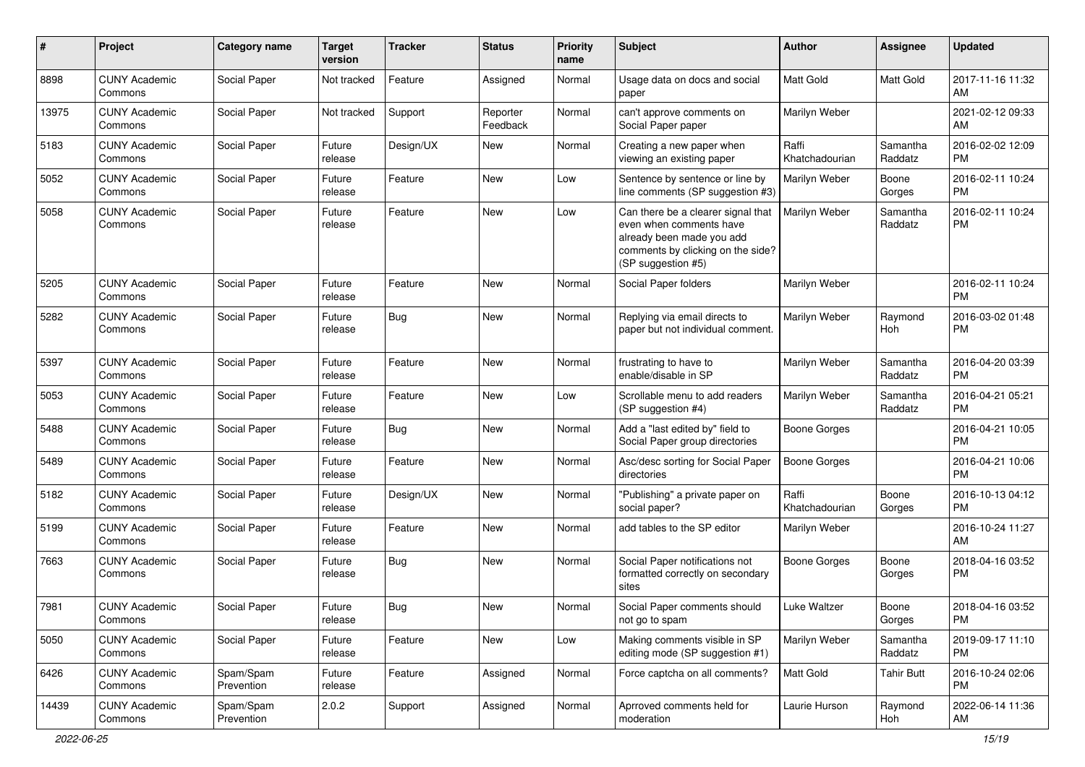| #     | Project                         | <b>Category name</b>    | <b>Target</b><br>version | <b>Tracker</b> | <b>Status</b>        | <b>Priority</b><br>name | <b>Subject</b>                                                                                                                                        | Author                  | <b>Assignee</b>     | <b>Updated</b>                |
|-------|---------------------------------|-------------------------|--------------------------|----------------|----------------------|-------------------------|-------------------------------------------------------------------------------------------------------------------------------------------------------|-------------------------|---------------------|-------------------------------|
| 8898  | <b>CUNY Academic</b><br>Commons | Social Paper            | Not tracked              | Feature        | Assigned             | Normal                  | Usage data on docs and social<br>paper                                                                                                                | <b>Matt Gold</b>        | Matt Gold           | 2017-11-16 11:32<br>AM        |
| 13975 | <b>CUNY Academic</b><br>Commons | Social Paper            | Not tracked              | Support        | Reporter<br>Feedback | Normal                  | can't approve comments on<br>Social Paper paper                                                                                                       | Marilyn Weber           |                     | 2021-02-12 09:33<br>AM        |
| 5183  | <b>CUNY Academic</b><br>Commons | Social Paper            | Future<br>release        | Design/UX      | New                  | Normal                  | Creating a new paper when<br>viewing an existing paper                                                                                                | Raffi<br>Khatchadourian | Samantha<br>Raddatz | 2016-02-02 12:09<br>PM        |
| 5052  | <b>CUNY Academic</b><br>Commons | Social Paper            | Future<br>release        | Feature        | New                  | Low                     | Sentence by sentence or line by<br>line comments (SP suggestion #3)                                                                                   | Marilyn Weber           | Boone<br>Gorges     | 2016-02-11 10:24<br><b>PM</b> |
| 5058  | <b>CUNY Academic</b><br>Commons | Social Paper            | Future<br>release        | Feature        | New                  | Low                     | Can there be a clearer signal that<br>even when comments have<br>already been made you add<br>comments by clicking on the side?<br>(SP suggestion #5) | Marilyn Weber           | Samantha<br>Raddatz | 2016-02-11 10:24<br><b>PM</b> |
| 5205  | <b>CUNY Academic</b><br>Commons | Social Paper            | Future<br>release        | Feature        | <b>New</b>           | Normal                  | Social Paper folders                                                                                                                                  | Marilyn Weber           |                     | 2016-02-11 10:24<br><b>PM</b> |
| 5282  | <b>CUNY Academic</b><br>Commons | Social Paper            | Future<br>release        | Bug            | New                  | Normal                  | Replying via email directs to<br>paper but not individual comment.                                                                                    | Marilyn Weber           | Raymond<br>Hoh      | 2016-03-02 01:48<br><b>PM</b> |
| 5397  | <b>CUNY Academic</b><br>Commons | Social Paper            | Future<br>release        | Feature        | <b>New</b>           | Normal                  | frustrating to have to<br>enable/disable in SP                                                                                                        | Marilyn Weber           | Samantha<br>Raddatz | 2016-04-20 03:39<br><b>PM</b> |
| 5053  | <b>CUNY Academic</b><br>Commons | Social Paper            | Future<br>release        | Feature        | <b>New</b>           | Low                     | Scrollable menu to add readers<br>(SP suggestion #4)                                                                                                  | Marilyn Weber           | Samantha<br>Raddatz | 2016-04-21 05:21<br><b>PM</b> |
| 5488  | <b>CUNY Academic</b><br>Commons | Social Paper            | Future<br>release        | Bug            | <b>New</b>           | Normal                  | Add a "last edited by" field to<br>Social Paper group directories                                                                                     | <b>Boone Gorges</b>     |                     | 2016-04-21 10:05<br><b>PM</b> |
| 5489  | <b>CUNY Academic</b><br>Commons | Social Paper            | Future<br>release        | Feature        | <b>New</b>           | Normal                  | Asc/desc sorting for Social Paper<br>directories                                                                                                      | <b>Boone Gorges</b>     |                     | 2016-04-21 10:06<br><b>PM</b> |
| 5182  | <b>CUNY Academic</b><br>Commons | Social Paper            | Future<br>release        | Design/UX      | New                  | Normal                  | "Publishing" a private paper on<br>social paper?                                                                                                      | Raffi<br>Khatchadourian | Boone<br>Gorges     | 2016-10-13 04:12<br><b>PM</b> |
| 5199  | <b>CUNY Academic</b><br>Commons | Social Paper            | Future<br>release        | Feature        | <b>New</b>           | Normal                  | add tables to the SP editor                                                                                                                           | Marilyn Weber           |                     | 2016-10-24 11:27<br>AM        |
| 7663  | <b>CUNY Academic</b><br>Commons | Social Paper            | Future<br>release        | Bug            | <b>New</b>           | Normal                  | Social Paper notifications not<br>formatted correctly on secondary<br>sites                                                                           | <b>Boone Gorges</b>     | Boone<br>Gorges     | 2018-04-16 03:52<br><b>PM</b> |
| 7981  | <b>CUNY Academic</b><br>Commons | Social Paper            | Future<br>release        | Bug            | New                  | Normal                  | Social Paper comments should<br>not go to spam                                                                                                        | Luke Waltzer            | Boone<br>Gorges     | 2018-04-16 03:52<br>PM        |
| 5050  | <b>CUNY Academic</b><br>Commons | Social Paper            | Future<br>release        | Feature        | New                  | Low                     | Making comments visible in SP<br>editing mode (SP suggestion #1)                                                                                      | Marilyn Weber           | Samantha<br>Raddatz | 2019-09-17 11:10<br>PM        |
| 6426  | <b>CUNY Academic</b><br>Commons | Spam/Spam<br>Prevention | Future<br>release        | Feature        | Assigned             | Normal                  | Force captcha on all comments?                                                                                                                        | Matt Gold               | <b>Tahir Butt</b>   | 2016-10-24 02:06<br><b>PM</b> |
| 14439 | <b>CUNY Academic</b><br>Commons | Spam/Spam<br>Prevention | 2.0.2                    | Support        | Assigned             | Normal                  | Aprroved comments held for<br>moderation                                                                                                              | Laurie Hurson           | Raymond<br>Hoh      | 2022-06-14 11:36<br>AM        |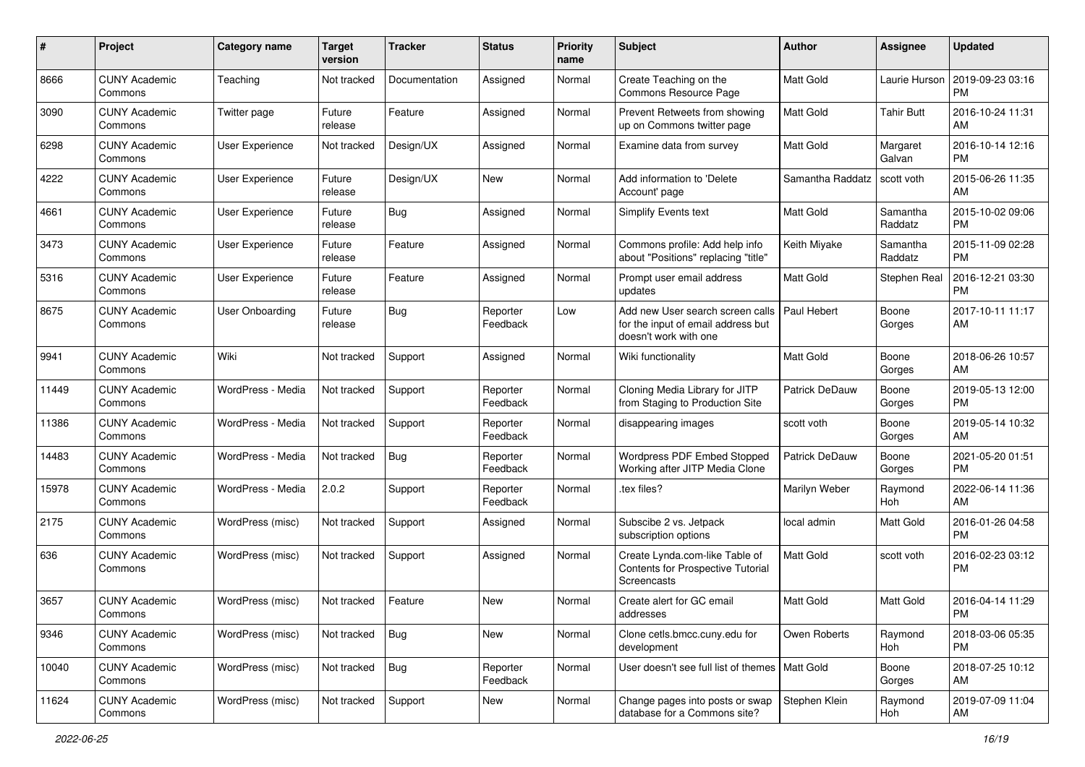| #     | Project                         | <b>Category name</b>   | <b>Target</b><br>version | <b>Tracker</b> | <b>Status</b>        | <b>Priority</b><br>name | Subject                                                                                         | Author                | Assignee            | <b>Updated</b>                |
|-------|---------------------------------|------------------------|--------------------------|----------------|----------------------|-------------------------|-------------------------------------------------------------------------------------------------|-----------------------|---------------------|-------------------------------|
| 8666  | <b>CUNY Academic</b><br>Commons | Teaching               | Not tracked              | Documentation  | Assigned             | Normal                  | Create Teaching on the<br>Commons Resource Page                                                 | Matt Gold             | Laurie Hurson       | 2019-09-23 03:16<br><b>PM</b> |
| 3090  | <b>CUNY Academic</b><br>Commons | Twitter page           | Future<br>release        | Feature        | Assigned             | Normal                  | Prevent Retweets from showing<br>up on Commons twitter page                                     | <b>Matt Gold</b>      | <b>Tahir Butt</b>   | 2016-10-24 11:31<br>AM        |
| 6298  | CUNY Academic<br>Commons        | User Experience        | Not tracked              | Design/UX      | Assigned             | Normal                  | Examine data from survey                                                                        | <b>Matt Gold</b>      | Margaret<br>Galvan  | 2016-10-14 12:16<br><b>PM</b> |
| 4222  | <b>CUNY Academic</b><br>Commons | User Experience        | Future<br>release        | Design/UX      | New                  | Normal                  | Add information to 'Delete<br>Account' page                                                     | Samantha Raddatz      | scott voth          | 2015-06-26 11:35<br>AM        |
| 4661  | <b>CUNY Academic</b><br>Commons | User Experience        | Future<br>release        | <b>Bug</b>     | Assigned             | Normal                  | <b>Simplify Events text</b>                                                                     | <b>Matt Gold</b>      | Samantha<br>Raddatz | 2015-10-02 09:06<br><b>PM</b> |
| 3473  | <b>CUNY Academic</b><br>Commons | <b>User Experience</b> | Future<br>release        | Feature        | Assigned             | Normal                  | Commons profile: Add help info<br>about "Positions" replacing "title"                           | Keith Miyake          | Samantha<br>Raddatz | 2015-11-09 02:28<br><b>PM</b> |
| 5316  | <b>CUNY Academic</b><br>Commons | User Experience        | Future<br>release        | Feature        | Assigned             | Normal                  | Prompt user email address<br>updates                                                            | Matt Gold             | Stephen Real        | 2016-12-21 03:30<br><b>PM</b> |
| 8675  | <b>CUNY Academic</b><br>Commons | <b>User Onboarding</b> | Future<br>release        | Bug            | Reporter<br>Feedback | Low                     | Add new User search screen calls<br>for the input of email address but<br>doesn't work with one | Paul Hebert           | Boone<br>Gorges     | 2017-10-11 11:17<br>AM        |
| 9941  | <b>CUNY Academic</b><br>Commons | Wiki                   | Not tracked              | Support        | Assigned             | Normal                  | Wiki functionality                                                                              | <b>Matt Gold</b>      | Boone<br>Gorges     | 2018-06-26 10:57<br>AM        |
| 11449 | <b>CUNY Academic</b><br>Commons | WordPress - Media      | Not tracked              | Support        | Reporter<br>Feedback | Normal                  | Cloning Media Library for JITP<br>from Staging to Production Site                               | Patrick DeDauw        | Boone<br>Gorges     | 2019-05-13 12:00<br><b>PM</b> |
| 11386 | <b>CUNY Academic</b><br>Commons | WordPress - Media      | Not tracked              | Support        | Reporter<br>Feedback | Normal                  | disappearing images                                                                             | scott voth            | Boone<br>Gorges     | 2019-05-14 10:32<br>AM        |
| 14483 | <b>CUNY Academic</b><br>Commons | WordPress - Media      | Not tracked              | Bug            | Reporter<br>Feedback | Normal                  | Wordpress PDF Embed Stopped<br>Working after JITP Media Clone                                   | <b>Patrick DeDauw</b> | Boone<br>Gorges     | 2021-05-20 01:51<br><b>PM</b> |
| 15978 | <b>CUNY Academic</b><br>Commons | WordPress - Media      | 2.0.2                    | Support        | Reporter<br>Feedback | Normal                  | .tex files?                                                                                     | Marilyn Weber         | Raymond<br>Hoh      | 2022-06-14 11:36<br>AM        |
| 2175  | <b>CUNY Academic</b><br>Commons | WordPress (misc)       | Not tracked              | Support        | Assigned             | Normal                  | Subscibe 2 vs. Jetpack<br>subscription options                                                  | local admin           | Matt Gold           | 2016-01-26 04:58<br><b>PM</b> |
| 636   | <b>CUNY Academic</b><br>Commons | WordPress (misc)       | Not tracked              | Support        | Assigned             | Normal                  | Create Lynda.com-like Table of<br>Contents for Prospective Tutorial<br>Screencasts              | Matt Gold             | scott voth          | 2016-02-23 03:12<br>PM        |
| 3657  | CUNY Academic<br>Commons        | WordPress (misc)       | Not tracked              | Feature        | New                  | Normal                  | Create alert for GC email<br>addresses                                                          | Matt Gold             | Matt Gold           | 2016-04-14 11:29<br>PM        |
| 9346  | <b>CUNY Academic</b><br>Commons | WordPress (misc)       | Not tracked              | Bug            | New                  | Normal                  | Clone cetls.bmcc.cuny.edu for<br>development                                                    | Owen Roberts          | Raymond<br>Hoh      | 2018-03-06 05:35<br><b>PM</b> |
| 10040 | <b>CUNY Academic</b><br>Commons | WordPress (misc)       | Not tracked              | Bug            | Reporter<br>Feedback | Normal                  | User doesn't see full list of themes   Matt Gold                                                |                       | Boone<br>Gorges     | 2018-07-25 10:12<br>AM        |
| 11624 | <b>CUNY Academic</b><br>Commons | WordPress (misc)       | Not tracked              | Support        | New                  | Normal                  | Change pages into posts or swap<br>database for a Commons site?                                 | Stephen Klein         | Raymond<br>Hoh      | 2019-07-09 11:04<br>AM        |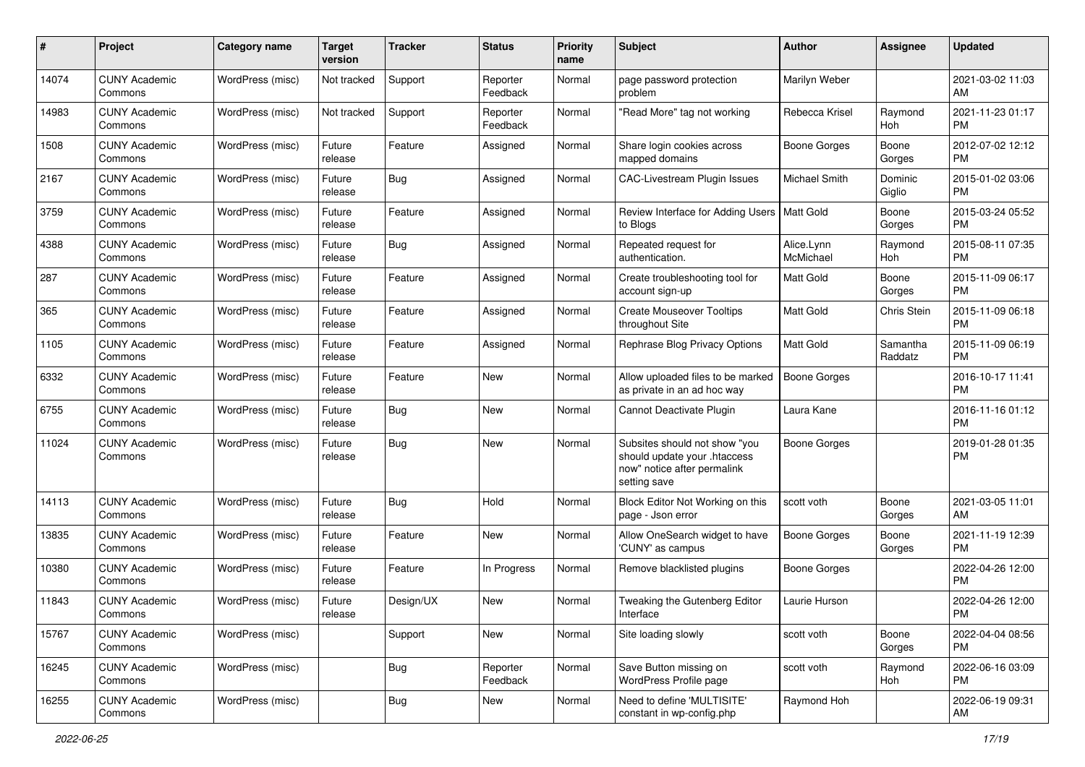| #     | Project                         | <b>Category name</b> | <b>Target</b><br>version | <b>Tracker</b> | <b>Status</b>        | <b>Priority</b><br>name | Subject                                                                                                      | Author                  | <b>Assignee</b>     | <b>Updated</b>                |
|-------|---------------------------------|----------------------|--------------------------|----------------|----------------------|-------------------------|--------------------------------------------------------------------------------------------------------------|-------------------------|---------------------|-------------------------------|
| 14074 | <b>CUNY Academic</b><br>Commons | WordPress (misc)     | Not tracked              | Support        | Reporter<br>Feedback | Normal                  | page password protection<br>problem                                                                          | Marilyn Weber           |                     | 2021-03-02 11:03<br>AM        |
| 14983 | <b>CUNY Academic</b><br>Commons | WordPress (misc)     | Not tracked              | Support        | Reporter<br>Feedback | Normal                  | "Read More" tag not working                                                                                  | Rebecca Krisel          | Raymond<br>Hoh      | 2021-11-23 01:17<br><b>PM</b> |
| 1508  | <b>CUNY Academic</b><br>Commons | WordPress (misc)     | Future<br>release        | Feature        | Assigned             | Normal                  | Share login cookies across<br>mapped domains                                                                 | <b>Boone Gorges</b>     | Boone<br>Gorges     | 2012-07-02 12:12<br><b>PM</b> |
| 2167  | <b>CUNY Academic</b><br>Commons | WordPress (misc)     | Future<br>release        | Bug            | Assigned             | Normal                  | CAC-Livestream Plugin Issues                                                                                 | <b>Michael Smith</b>    | Dominic<br>Giglio   | 2015-01-02 03:06<br><b>PM</b> |
| 3759  | <b>CUNY Academic</b><br>Commons | WordPress (misc)     | Future<br>release        | Feature        | Assigned             | Normal                  | Review Interface for Adding Users   Matt Gold<br>to Blogs                                                    |                         | Boone<br>Gorges     | 2015-03-24 05:52<br><b>PM</b> |
| 4388  | <b>CUNY Academic</b><br>Commons | WordPress (misc)     | Future<br>release        | <b>Bug</b>     | Assigned             | Normal                  | Repeated request for<br>authentication.                                                                      | Alice.Lynn<br>McMichael | Raymond<br>Hoh      | 2015-08-11 07:35<br><b>PM</b> |
| 287   | <b>CUNY Academic</b><br>Commons | WordPress (misc)     | Future<br>release        | Feature        | Assigned             | Normal                  | Create troubleshooting tool for<br>account sign-up                                                           | Matt Gold               | Boone<br>Gorges     | 2015-11-09 06:17<br><b>PM</b> |
| 365   | <b>CUNY Academic</b><br>Commons | WordPress (misc)     | Future<br>release        | Feature        | Assigned             | Normal                  | <b>Create Mouseover Tooltips</b><br>throughout Site                                                          | <b>Matt Gold</b>        | Chris Stein         | 2015-11-09 06:18<br><b>PM</b> |
| 1105  | <b>CUNY Academic</b><br>Commons | WordPress (misc)     | Future<br>release        | Feature        | Assigned             | Normal                  | Rephrase Blog Privacy Options                                                                                | <b>Matt Gold</b>        | Samantha<br>Raddatz | 2015-11-09 06:19<br><b>PM</b> |
| 6332  | <b>CUNY Academic</b><br>Commons | WordPress (misc)     | Future<br>release        | Feature        | New                  | Normal                  | Allow uploaded files to be marked<br>as private in an ad hoc way                                             | <b>Boone Gorges</b>     |                     | 2016-10-17 11:41<br><b>PM</b> |
| 6755  | <b>CUNY Academic</b><br>Commons | WordPress (misc)     | Future<br>release        | Bug            | New                  | Normal                  | Cannot Deactivate Plugin                                                                                     | Laura Kane              |                     | 2016-11-16 01:12<br><b>PM</b> |
| 11024 | <b>CUNY Academic</b><br>Commons | WordPress (misc)     | Future<br>release        | <b>Bug</b>     | New                  | Normal                  | Subsites should not show "you<br>should update your .htaccess<br>now" notice after permalink<br>setting save | <b>Boone Gorges</b>     |                     | 2019-01-28 01:35<br><b>PM</b> |
| 14113 | <b>CUNY Academic</b><br>Commons | WordPress (misc)     | Future<br>release        | <b>Bug</b>     | Hold                 | Normal                  | Block Editor Not Working on this<br>page - Json error                                                        | scott voth              | Boone<br>Gorges     | 2021-03-05 11:01<br>AM        |
| 13835 | <b>CUNY Academic</b><br>Commons | WordPress (misc)     | Future<br>release        | Feature        | New                  | Normal                  | Allow OneSearch widget to have<br>'CUNY' as campus                                                           | <b>Boone Gorges</b>     | Boone<br>Gorges     | 2021-11-19 12:39<br><b>PM</b> |
| 10380 | <b>CUNY Academic</b><br>Commons | WordPress (misc)     | Future<br>release        | Feature        | In Progress          | Normal                  | Remove blacklisted plugins                                                                                   | <b>Boone Gorges</b>     |                     | 2022-04-26 12:00<br><b>PM</b> |
| 11843 | <b>CUNY Academic</b><br>Commons | WordPress (misc)     | Future<br>release        | Design/UX      | New                  | Normal                  | Tweaking the Gutenberg Editor<br>Interface                                                                   | Laurie Hurson           |                     | 2022-04-26 12:00<br>PM        |
| 15767 | <b>CUNY Academic</b><br>Commons | WordPress (misc)     |                          | Support        | New                  | Normal                  | Site loading slowly                                                                                          | scott voth              | Boone<br>Gorges     | 2022-04-04 08:56<br><b>PM</b> |
| 16245 | <b>CUNY Academic</b><br>Commons | WordPress (misc)     |                          | <b>Bug</b>     | Reporter<br>Feedback | Normal                  | Save Button missing on<br>WordPress Profile page                                                             | scott voth              | Raymond<br>Hoh      | 2022-06-16 03:09<br><b>PM</b> |
| 16255 | <b>CUNY Academic</b><br>Commons | WordPress (misc)     |                          | <b>Bug</b>     | New                  | Normal                  | Need to define 'MULTISITE'<br>constant in wp-config.php                                                      | Raymond Hoh             |                     | 2022-06-19 09:31<br>AM        |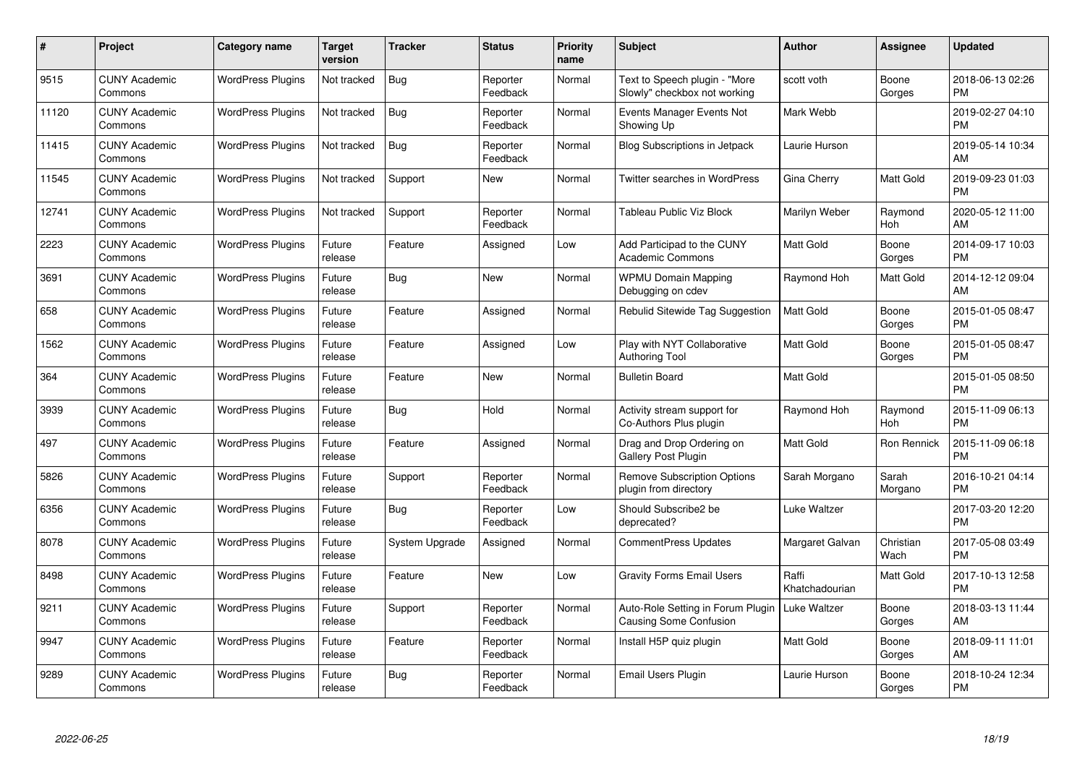| $\#$  | Project                         | <b>Category name</b>     | <b>Target</b><br>version | <b>Tracker</b> | <b>Status</b>        | <b>Priority</b><br>name | <b>Subject</b>                                                     | Author                  | <b>Assignee</b>   | <b>Updated</b>                |
|-------|---------------------------------|--------------------------|--------------------------|----------------|----------------------|-------------------------|--------------------------------------------------------------------|-------------------------|-------------------|-------------------------------|
| 9515  | <b>CUNY Academic</b><br>Commons | <b>WordPress Plugins</b> | Not tracked              | Bug            | Reporter<br>Feedback | Normal                  | Text to Speech plugin - "More<br>Slowly" checkbox not working      | scott voth              | Boone<br>Gorges   | 2018-06-13 02:26<br><b>PM</b> |
| 11120 | <b>CUNY Academic</b><br>Commons | <b>WordPress Plugins</b> | Not tracked              | Bug            | Reporter<br>Feedback | Normal                  | Events Manager Events Not<br>Showing Up                            | Mark Webb               |                   | 2019-02-27 04:10<br><b>PM</b> |
| 11415 | <b>CUNY Academic</b><br>Commons | <b>WordPress Plugins</b> | Not tracked              | <b>Bug</b>     | Reporter<br>Feedback | Normal                  | Blog Subscriptions in Jetpack                                      | Laurie Hurson           |                   | 2019-05-14 10:34<br>AM        |
| 11545 | <b>CUNY Academic</b><br>Commons | <b>WordPress Plugins</b> | Not tracked              | Support        | <b>New</b>           | Normal                  | Twitter searches in WordPress                                      | Gina Cherry             | <b>Matt Gold</b>  | 2019-09-23 01:03<br><b>PM</b> |
| 12741 | <b>CUNY Academic</b><br>Commons | <b>WordPress Plugins</b> | Not tracked              | Support        | Reporter<br>Feedback | Normal                  | Tableau Public Viz Block                                           | Marilyn Weber           | Raymond<br>Hoh    | 2020-05-12 11:00<br>AM        |
| 2223  | <b>CUNY Academic</b><br>Commons | <b>WordPress Plugins</b> | Future<br>release        | Feature        | Assigned             | Low                     | Add Participad to the CUNY<br><b>Academic Commons</b>              | <b>Matt Gold</b>        | Boone<br>Gorges   | 2014-09-17 10:03<br><b>PM</b> |
| 3691  | <b>CUNY Academic</b><br>Commons | <b>WordPress Plugins</b> | Future<br>release        | <b>Bug</b>     | <b>New</b>           | Normal                  | <b>WPMU Domain Mapping</b><br>Debugging on cdev                    | Raymond Hoh             | Matt Gold         | 2014-12-12 09:04<br>AM        |
| 658   | <b>CUNY Academic</b><br>Commons | <b>WordPress Plugins</b> | Future<br>release        | Feature        | Assigned             | Normal                  | <b>Rebulid Sitewide Tag Suggestion</b>                             | <b>Matt Gold</b>        | Boone<br>Gorges   | 2015-01-05 08:47<br><b>PM</b> |
| 1562  | <b>CUNY Academic</b><br>Commons | <b>WordPress Plugins</b> | Future<br>release        | Feature        | Assigned             | Low                     | Play with NYT Collaborative<br><b>Authoring Tool</b>               | <b>Matt Gold</b>        | Boone<br>Gorges   | 2015-01-05 08:47<br><b>PM</b> |
| 364   | <b>CUNY Academic</b><br>Commons | <b>WordPress Plugins</b> | Future<br>release        | Feature        | New                  | Normal                  | <b>Bulletin Board</b>                                              | Matt Gold               |                   | 2015-01-05 08:50<br><b>PM</b> |
| 3939  | <b>CUNY Academic</b><br>Commons | <b>WordPress Plugins</b> | Future<br>release        | <b>Bug</b>     | Hold                 | Normal                  | Activity stream support for<br>Co-Authors Plus plugin              | Raymond Hoh             | Raymond<br>Hoh    | 2015-11-09 06:13<br><b>PM</b> |
| 497   | <b>CUNY Academic</b><br>Commons | <b>WordPress Plugins</b> | Future<br>release        | Feature        | Assigned             | Normal                  | Drag and Drop Ordering on<br><b>Gallery Post Plugin</b>            | <b>Matt Gold</b>        | Ron Rennick       | 2015-11-09 06:18<br><b>PM</b> |
| 5826  | <b>CUNY Academic</b><br>Commons | <b>WordPress Plugins</b> | Future<br>release        | Support        | Reporter<br>Feedback | Normal                  | <b>Remove Subscription Options</b><br>plugin from directory        | Sarah Morgano           | Sarah<br>Morgano  | 2016-10-21 04:14<br><b>PM</b> |
| 6356  | <b>CUNY Academic</b><br>Commons | <b>WordPress Plugins</b> | Future<br>release        | Bug            | Reporter<br>Feedback | Low                     | Should Subscribe2 be<br>deprecated?                                | Luke Waltzer            |                   | 2017-03-20 12:20<br><b>PM</b> |
| 8078  | <b>CUNY Academic</b><br>Commons | <b>WordPress Plugins</b> | Future<br>release        | System Upgrade | Assigned             | Normal                  | <b>CommentPress Updates</b>                                        | Margaret Galvan         | Christian<br>Wach | 2017-05-08 03:49<br><b>PM</b> |
| 8498  | <b>CUNY Academic</b><br>Commons | <b>WordPress Plugins</b> | Future<br>release        | Feature        | <b>New</b>           | Low                     | <b>Gravity Forms Email Users</b>                                   | Raffi<br>Khatchadourian | Matt Gold         | 2017-10-13 12:58<br><b>PM</b> |
| 9211  | <b>CUNY Academic</b><br>Commons | WordPress Plugins        | Future<br>release        | Support        | Reporter<br>Feedback | Normal                  | Auto-Role Setting in Forum Plugin<br><b>Causing Some Confusion</b> | Luke Waltzer            | Boone<br>Gorges   | 2018-03-13 11:44<br>AM        |
| 9947  | <b>CUNY Academic</b><br>Commons | <b>WordPress Plugins</b> | Future<br>release        | Feature        | Reporter<br>Feedback | Normal                  | Install H5P quiz plugin                                            | <b>Matt Gold</b>        | Boone<br>Gorges   | 2018-09-11 11:01<br>AM        |
| 9289  | CUNY Academic<br>Commons        | <b>WordPress Plugins</b> | Future<br>release        | Bug            | Reporter<br>Feedback | Normal                  | Email Users Plugin                                                 | Laurie Hurson           | Boone<br>Gorges   | 2018-10-24 12:34<br><b>PM</b> |